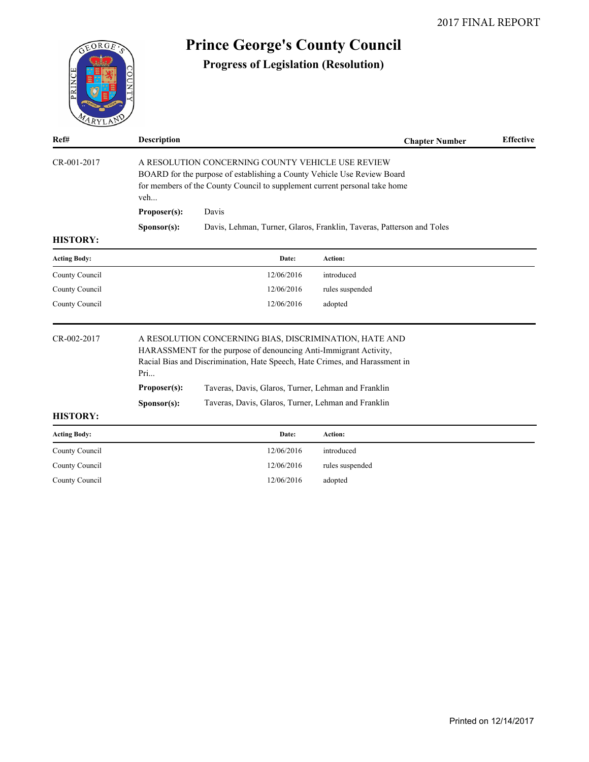| EORGE               |                      | <b>Prince George's County Council</b>                                                                                                                                                                                                                             |                                                                       |                  |
|---------------------|----------------------|-------------------------------------------------------------------------------------------------------------------------------------------------------------------------------------------------------------------------------------------------------------------|-----------------------------------------------------------------------|------------------|
| PRINCE              |                      | <b>Progress of Legislation (Resolution)</b>                                                                                                                                                                                                                       |                                                                       |                  |
| Ref#                | <b>Description</b>   |                                                                                                                                                                                                                                                                   | <b>Chapter Number</b>                                                 | <b>Effective</b> |
| CR-001-2017         | veh<br>Proposer(s):  | A RESOLUTION CONCERNING COUNTY VEHICLE USE REVIEW<br>BOARD for the purpose of establishing a County Vehicle Use Review Board<br>for members of the County Council to supplement current personal take home<br>Davis                                               |                                                                       |                  |
| <b>HISTORY:</b>     | Sponsor(s):          |                                                                                                                                                                                                                                                                   | Davis, Lehman, Turner, Glaros, Franklin, Taveras, Patterson and Toles |                  |
| <b>Acting Body:</b> |                      | Date:                                                                                                                                                                                                                                                             | Action:                                                               |                  |
| County Council      |                      | 12/06/2016                                                                                                                                                                                                                                                        | introduced                                                            |                  |
| County Council      |                      | 12/06/2016                                                                                                                                                                                                                                                        | rules suspended                                                       |                  |
| County Council      |                      | 12/06/2016                                                                                                                                                                                                                                                        | adopted                                                               |                  |
| CR-002-2017         | Pri<br>Proposer(s):  | A RESOLUTION CONCERNING BIAS, DISCRIMINATION, HATE AND<br>HARASSMENT for the purpose of denouncing Anti-Immigrant Activity,<br>Racial Bias and Discrimination, Hate Speech, Hate Crimes, and Harassment in<br>Taveras, Davis, Glaros, Turner, Lehman and Franklin |                                                                       |                  |
| <b>HISTORY:</b>     | S <b>p</b> onsor(s): | Taveras, Davis, Glaros, Turner, Lehman and Franklin                                                                                                                                                                                                               |                                                                       |                  |
|                     |                      |                                                                                                                                                                                                                                                                   |                                                                       |                  |
| <b>Acting Body:</b> |                      | Date:                                                                                                                                                                                                                                                             | Action:                                                               |                  |
| County Council      |                      | 12/06/2016                                                                                                                                                                                                                                                        | introduced                                                            |                  |
| County Council      |                      | 12/06/2016                                                                                                                                                                                                                                                        | rules suspended                                                       |                  |

County Council 12/06/2016 adopted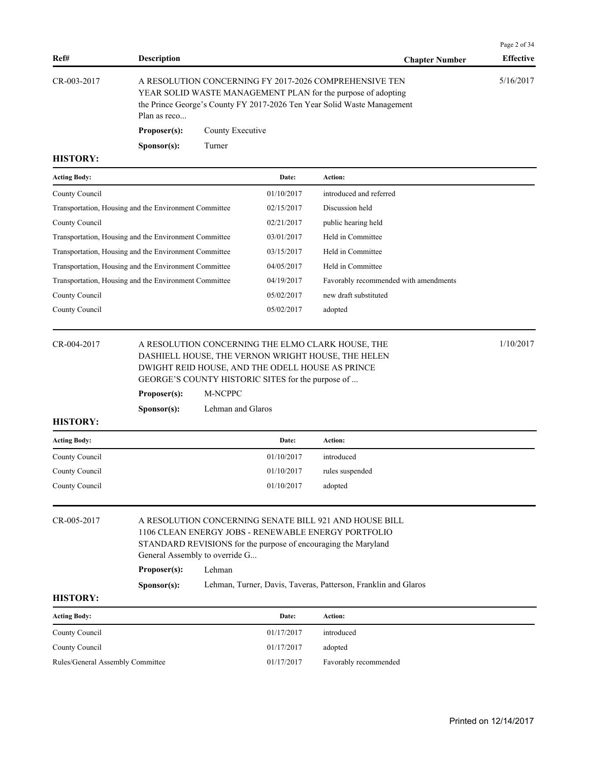|                   |                      |                                                                                                                                                                                                   | Page 2 of 34     |  |
|-------------------|----------------------|---------------------------------------------------------------------------------------------------------------------------------------------------------------------------------------------------|------------------|--|
| Ref#              | <b>Description</b>   | <b>Chapter Number</b>                                                                                                                                                                             | <b>Effective</b> |  |
| $CR - 003 - 2017$ | Plan as reco         | A RESOLUTION CONCERNING FY 2017-2026 COMPREHENSIVE TEN<br>YEAR SOLID WASTE MANAGEMENT PLAN for the purpose of adopting<br>the Prince George's County FY 2017-2026 Ten Year Solid Waste Management | 5/16/2017        |  |
|                   | Proposer(s):         | County Executive                                                                                                                                                                                  |                  |  |
|                   | S <b>p</b> onsor(s): | Turner                                                                                                                                                                                            |                  |  |

## **HISTORY:**

| <b>Acting Body:</b>                                   | Date:      | Action:                               |
|-------------------------------------------------------|------------|---------------------------------------|
| County Council                                        | 01/10/2017 | introduced and referred               |
| Transportation, Housing and the Environment Committee | 02/15/2017 | Discussion held                       |
| County Council                                        | 02/21/2017 | public hearing held                   |
| Transportation, Housing and the Environment Committee | 03/01/2017 | Held in Committee                     |
| Transportation, Housing and the Environment Committee | 03/15/2017 | Held in Committee                     |
| Transportation, Housing and the Environment Committee | 04/05/2017 | Held in Committee                     |
| Transportation, Housing and the Environment Committee | 04/19/2017 | Favorably recommended with amendments |
| County Council                                        | 05/02/2017 | new draft substituted                 |
| County Council                                        | 05/02/2017 | adopted                               |

| CR-004-2017 | A RESOLUTION CONCERNING THE ELMO CLARK HOUSE, THE  | 1/10/2017 |  |  |  |
|-------------|----------------------------------------------------|-----------|--|--|--|
|             | DASHIELL HOUSE, THE VERNON WRIGHT HOUSE, THE HELEN |           |  |  |  |
|             | DWIGHT REID HOUSE, AND THE ODELL HOUSE AS PRINCE   |           |  |  |  |
|             | GEORGE'S COUNTY HISTORIC SITES for the purpose of  |           |  |  |  |
|             | Proposer(s):<br>M-NCPPC                            |           |  |  |  |

**Sponsor(s):** Lehman and Glaros

## **HISTORY:**

| <b>Acting Body:</b> | Date:      | Action:         |
|---------------------|------------|-----------------|
| County Council      | 01/10/2017 | introduced      |
| County Council      | 01/10/2017 | rules suspended |
| County Council      | 01/10/2017 | adopted         |

| CR-005-2017 |                                | A RESOLUTION CONCERNING SENATE BILL 921 AND HOUSE BILL         |  |  |  |  |  |
|-------------|--------------------------------|----------------------------------------------------------------|--|--|--|--|--|
|             |                                | 1106 CLEAN ENERGY JOBS - RENEWABLE ENERGY PORTFOLIO            |  |  |  |  |  |
|             |                                | STANDARD REVISIONS for the purpose of encouraging the Maryland |  |  |  |  |  |
|             | General Assembly to override G |                                                                |  |  |  |  |  |
|             | Proposer(s):                   | Lehman                                                         |  |  |  |  |  |
|             | S <b>p</b> onsor(s):           | Lehman, Turner, Davis, Taveras, Patterson, Franklin and Glaros |  |  |  |  |  |

## **HISTORY:**

| <b>Acting Body:</b>              | Date:      | Action:               |
|----------------------------------|------------|-----------------------|
| County Council                   | 01/17/2017 | introduced            |
| County Council                   | 01/17/2017 | adopted               |
| Rules/General Assembly Committee | 01/17/2017 | Favorably recommended |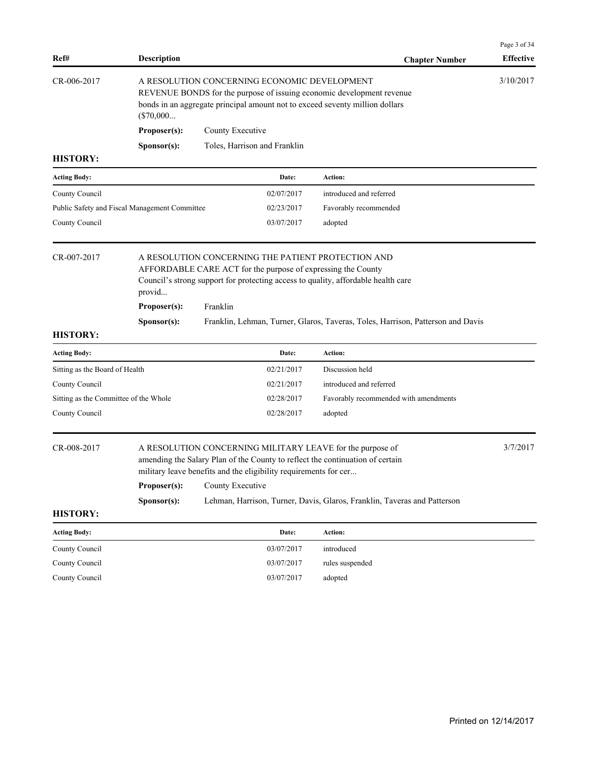| Ref#                                          | <b>Description</b>                                                                                                                                                                                                   |                                                                                                                                                                                                                                    | <b>Chapter Number</b>                                                           | Page 3 of 34<br><b>Effective</b> |  |  |
|-----------------------------------------------|----------------------------------------------------------------------------------------------------------------------------------------------------------------------------------------------------------------------|------------------------------------------------------------------------------------------------------------------------------------------------------------------------------------------------------------------------------------|---------------------------------------------------------------------------------|----------------------------------|--|--|
| CR-006-2017                                   | A RESOLUTION CONCERNING ECONOMIC DEVELOPMENT<br>REVENUE BONDS for the purpose of issuing economic development revenue<br>bonds in an aggregate principal amount not to exceed seventy million dollars<br>$(\$70,000$ |                                                                                                                                                                                                                                    |                                                                                 |                                  |  |  |
|                                               | Proposer(s):                                                                                                                                                                                                         | County Executive                                                                                                                                                                                                                   |                                                                                 |                                  |  |  |
|                                               | Sponsor(s):                                                                                                                                                                                                          | Toles, Harrison and Franklin                                                                                                                                                                                                       |                                                                                 |                                  |  |  |
| <b>HISTORY:</b>                               |                                                                                                                                                                                                                      |                                                                                                                                                                                                                                    |                                                                                 |                                  |  |  |
| <b>Acting Body:</b>                           |                                                                                                                                                                                                                      | Date:                                                                                                                                                                                                                              | Action:                                                                         |                                  |  |  |
| County Council                                |                                                                                                                                                                                                                      | 02/07/2017                                                                                                                                                                                                                         | introduced and referred                                                         |                                  |  |  |
| Public Safety and Fiscal Management Committee |                                                                                                                                                                                                                      | 02/23/2017                                                                                                                                                                                                                         | Favorably recommended                                                           |                                  |  |  |
| County Council                                |                                                                                                                                                                                                                      | 03/07/2017                                                                                                                                                                                                                         | adopted                                                                         |                                  |  |  |
| CR-007-2017                                   | provid                                                                                                                                                                                                               | A RESOLUTION CONCERNING THE PATIENT PROTECTION AND<br>AFFORDABLE CARE ACT for the purpose of expressing the County<br>Council's strong support for protecting access to quality, affordable health care                            |                                                                                 |                                  |  |  |
|                                               | Proposer(s):<br>Franklin                                                                                                                                                                                             |                                                                                                                                                                                                                                    |                                                                                 |                                  |  |  |
|                                               | Sponsor(s):                                                                                                                                                                                                          |                                                                                                                                                                                                                                    | Franklin, Lehman, Turner, Glaros, Taveras, Toles, Harrison, Patterson and Davis |                                  |  |  |
| <b>HISTORY:</b>                               |                                                                                                                                                                                                                      |                                                                                                                                                                                                                                    |                                                                                 |                                  |  |  |
| <b>Acting Body:</b>                           |                                                                                                                                                                                                                      | Date:                                                                                                                                                                                                                              | Action:                                                                         |                                  |  |  |
| Sitting as the Board of Health                |                                                                                                                                                                                                                      | 02/21/2017                                                                                                                                                                                                                         | Discussion held                                                                 |                                  |  |  |
| County Council                                |                                                                                                                                                                                                                      | 02/21/2017                                                                                                                                                                                                                         | introduced and referred                                                         |                                  |  |  |
| Sitting as the Committee of the Whole         |                                                                                                                                                                                                                      | 02/28/2017                                                                                                                                                                                                                         | Favorably recommended with amendments                                           |                                  |  |  |
| County Council                                |                                                                                                                                                                                                                      | 02/28/2017                                                                                                                                                                                                                         | adopted                                                                         |                                  |  |  |
| CR-008-2017                                   | Proposer(s):                                                                                                                                                                                                         | A RESOLUTION CONCERNING MILITARY LEAVE for the purpose of<br>amending the Salary Plan of the County to reflect the continuation of certain<br>military leave benefits and the eligibility requirements for cer<br>County Executive |                                                                                 | 3/7/2017                         |  |  |
|                                               | Sponsor(s):                                                                                                                                                                                                          |                                                                                                                                                                                                                                    | Lehman, Harrison, Turner, Davis, Glaros, Franklin, Taveras and Patterson        |                                  |  |  |
| <b>HISTORY:</b>                               |                                                                                                                                                                                                                      |                                                                                                                                                                                                                                    |                                                                                 |                                  |  |  |
| <b>Acting Body:</b>                           |                                                                                                                                                                                                                      | Date:                                                                                                                                                                                                                              | Action:                                                                         |                                  |  |  |
| County Council                                |                                                                                                                                                                                                                      | 03/07/2017                                                                                                                                                                                                                         | introduced                                                                      |                                  |  |  |
| County Council                                |                                                                                                                                                                                                                      | 03/07/2017                                                                                                                                                                                                                         | rules suspended                                                                 |                                  |  |  |
| County Council                                |                                                                                                                                                                                                                      | 03/07/2017                                                                                                                                                                                                                         | adopted                                                                         |                                  |  |  |
|                                               |                                                                                                                                                                                                                      |                                                                                                                                                                                                                                    |                                                                                 |                                  |  |  |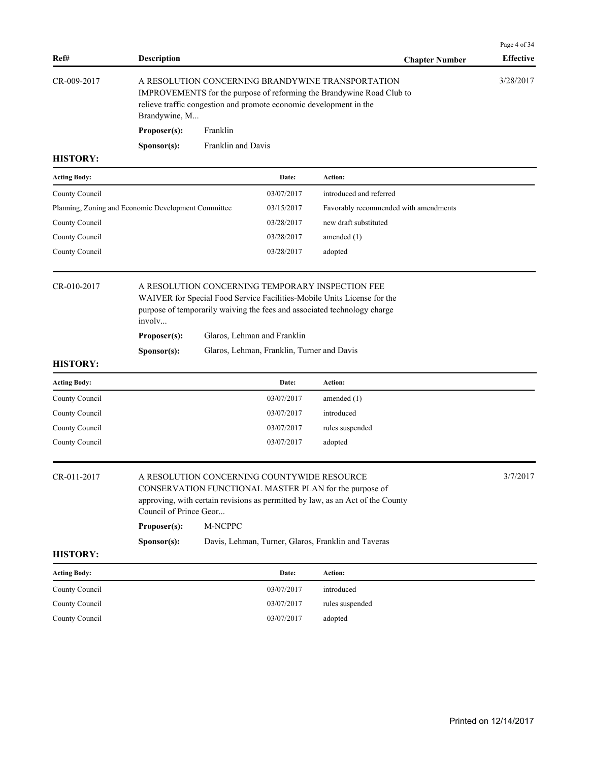| Ref#                | <b>Description</b>                                  |                                                                                                                                                                                                  |                                            | <b>Chapter Number</b>                                                                                                                                                                                   | Page 4 of 34<br><b>Effective</b> |
|---------------------|-----------------------------------------------------|--------------------------------------------------------------------------------------------------------------------------------------------------------------------------------------------------|--------------------------------------------|---------------------------------------------------------------------------------------------------------------------------------------------------------------------------------------------------------|----------------------------------|
| CR-009-2017         | Brandywine, M                                       | A RESOLUTION CONCERNING BRANDYWINE TRANSPORTATION<br>IMPROVEMENTS for the purpose of reforming the Brandywine Road Club to<br>relieve traffic congestion and promote economic development in the |                                            |                                                                                                                                                                                                         |                                  |
|                     | Proposer(s):                                        | Franklin                                                                                                                                                                                         |                                            |                                                                                                                                                                                                         |                                  |
|                     | Sponsor(s):                                         | Franklin and Davis                                                                                                                                                                               |                                            |                                                                                                                                                                                                         |                                  |
| <b>HISTORY:</b>     |                                                     |                                                                                                                                                                                                  |                                            |                                                                                                                                                                                                         |                                  |
| <b>Acting Body:</b> |                                                     |                                                                                                                                                                                                  | Date:                                      | Action:                                                                                                                                                                                                 |                                  |
| County Council      |                                                     |                                                                                                                                                                                                  | 03/07/2017                                 | introduced and referred                                                                                                                                                                                 |                                  |
|                     | Planning, Zoning and Economic Development Committee |                                                                                                                                                                                                  | 03/15/2017                                 | Favorably recommended with amendments                                                                                                                                                                   |                                  |
| County Council      |                                                     |                                                                                                                                                                                                  | 03/28/2017                                 | new draft substituted                                                                                                                                                                                   |                                  |
| County Council      |                                                     |                                                                                                                                                                                                  | 03/28/2017                                 | amended $(1)$                                                                                                                                                                                           |                                  |
| County Council      |                                                     |                                                                                                                                                                                                  | 03/28/2017                                 | adopted                                                                                                                                                                                                 |                                  |
| CR-010-2017         | involv<br>Proposer(s):<br>Sponsor(s):               | Glaros, Lehman and Franklin                                                                                                                                                                      | Glaros, Lehman, Franklin, Turner and Davis | A RESOLUTION CONCERNING TEMPORARY INSPECTION FEE<br>WAIVER for Special Food Service Facilities-Mobile Units License for the<br>purpose of temporarily waiving the fees and associated technology charge |                                  |
| <b>HISTORY:</b>     |                                                     |                                                                                                                                                                                                  |                                            |                                                                                                                                                                                                         |                                  |
| <b>Acting Body:</b> |                                                     |                                                                                                                                                                                                  | Date:                                      | Action:                                                                                                                                                                                                 |                                  |
| County Council      |                                                     |                                                                                                                                                                                                  | 03/07/2017                                 | amended $(1)$                                                                                                                                                                                           |                                  |
| County Council      |                                                     |                                                                                                                                                                                                  | 03/07/2017                                 | introduced                                                                                                                                                                                              |                                  |
| County Council      |                                                     |                                                                                                                                                                                                  | 03/07/2017                                 | rules suspended                                                                                                                                                                                         |                                  |
| County Council      |                                                     |                                                                                                                                                                                                  | 03/07/2017                                 | adopted                                                                                                                                                                                                 |                                  |
| CR-011-2017         | Council of Prince Geor                              | A RESOLUTION CONCERNING COUNTYWIDE RESOURCE                                                                                                                                                      |                                            | CONSERVATION FUNCTIONAL MASTER PLAN for the purpose of<br>approving, with certain revisions as permitted by law, as an Act of the County                                                                | 3/7/2017                         |
|                     | Proposer(s):                                        | M-NCPPC                                                                                                                                                                                          |                                            |                                                                                                                                                                                                         |                                  |
| <b>HISTORY:</b>     | Sponsor(s):                                         |                                                                                                                                                                                                  |                                            | Davis, Lehman, Turner, Glaros, Franklin and Taveras                                                                                                                                                     |                                  |
| <b>Acting Body:</b> |                                                     |                                                                                                                                                                                                  | Date:                                      | Action:                                                                                                                                                                                                 |                                  |
| County Council      |                                                     |                                                                                                                                                                                                  | 03/07/2017                                 | introduced                                                                                                                                                                                              |                                  |
| County Council      |                                                     |                                                                                                                                                                                                  | 03/07/2017                                 | rules suspended                                                                                                                                                                                         |                                  |
| County Council      |                                                     |                                                                                                                                                                                                  | 03/07/2017                                 | adopted                                                                                                                                                                                                 |                                  |
|                     |                                                     |                                                                                                                                                                                                  |                                            |                                                                                                                                                                                                         |                                  |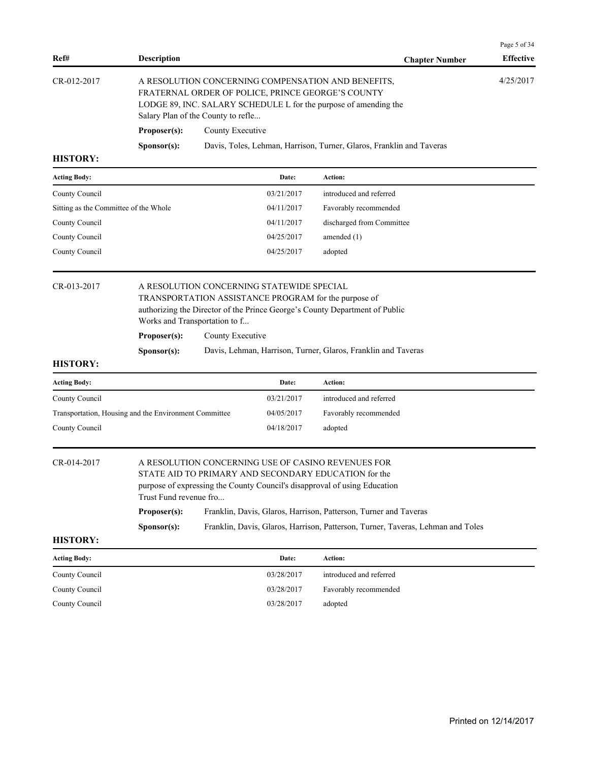| 4/25/2017<br>CR-012-2017<br>A RESOLUTION CONCERNING COMPENSATION AND BENEFITS,<br>FRATERNAL ORDER OF POLICE, PRINCE GEORGE'S COUNTY<br>LODGE 89, INC. SALARY SCHEDULE L for the purpose of amending the<br>Salary Plan of the County to refle<br>Proposer(s):<br>County Executive<br>Davis, Toles, Lehman, Harrison, Turner, Glaros, Franklin and Taveras<br>Sponsor(s):<br><b>HISTORY:</b><br><b>Acting Body:</b><br>Action:<br>Date:<br>03/21/2017<br>introduced and referred<br>County Council<br>Sitting as the Committee of the Whole<br>04/11/2017<br>Favorably recommended<br>County Council<br>04/11/2017<br>discharged from Committee<br>County Council<br>04/25/2017<br>amended (1)<br>County Council<br>04/25/2017<br>adopted<br>CR-013-2017<br>A RESOLUTION CONCERNING STATEWIDE SPECIAL<br>TRANSPORTATION ASSISTANCE PROGRAM for the purpose of<br>authorizing the Director of the Prince George's County Department of Public<br>Works and Transportation to f<br>Proposer(s):<br>County Executive<br>Sponsor(s):<br>Davis, Lehman, Harrison, Turner, Glaros, Franklin and Taveras<br><b>HISTORY:</b><br><b>Acting Body:</b><br>Date:<br>Action:<br>03/21/2017<br>introduced and referred<br>County Council<br>Transportation, Housing and the Environment Committee<br>04/05/2017<br>Favorably recommended<br>County Council<br>04/18/2017<br>adopted<br>A RESOLUTION CONCERNING USE OF CASINO REVENUES FOR<br>CR-014-2017<br>STATE AID TO PRIMARY AND SECONDARY EDUCATION for the<br>purpose of expressing the County Council's disapproval of using Education<br>Trust Fund revenue fro<br>Franklin, Davis, Glaros, Harrison, Patterson, Turner and Taveras<br>Proposer(s):<br>Franklin, Davis, Glaros, Harrison, Patterson, Turner, Taveras, Lehman and Toles<br>Sponsor(s):<br><b>HISTORY:</b><br><b>Acting Body:</b><br>Date:<br>Action:<br>introduced and referred<br>County Council<br>03/28/2017<br>03/28/2017<br>County Council<br>Favorably recommended<br>County Council<br>03/28/2017<br>adopted | Ref# | <b>Description</b> |  |  | <b>Chapter Number</b> | Page 5 of 34<br><b>Effective</b> |
|-----------------------------------------------------------------------------------------------------------------------------------------------------------------------------------------------------------------------------------------------------------------------------------------------------------------------------------------------------------------------------------------------------------------------------------------------------------------------------------------------------------------------------------------------------------------------------------------------------------------------------------------------------------------------------------------------------------------------------------------------------------------------------------------------------------------------------------------------------------------------------------------------------------------------------------------------------------------------------------------------------------------------------------------------------------------------------------------------------------------------------------------------------------------------------------------------------------------------------------------------------------------------------------------------------------------------------------------------------------------------------------------------------------------------------------------------------------------------------------------------------------------------------------------------------------------------------------------------------------------------------------------------------------------------------------------------------------------------------------------------------------------------------------------------------------------------------------------------------------------------------------------------------------------------------------------------------------------------------------------------------------------------------|------|--------------------|--|--|-----------------------|----------------------------------|
|                                                                                                                                                                                                                                                                                                                                                                                                                                                                                                                                                                                                                                                                                                                                                                                                                                                                                                                                                                                                                                                                                                                                                                                                                                                                                                                                                                                                                                                                                                                                                                                                                                                                                                                                                                                                                                                                                                                                                                                                                             |      |                    |  |  |                       |                                  |
|                                                                                                                                                                                                                                                                                                                                                                                                                                                                                                                                                                                                                                                                                                                                                                                                                                                                                                                                                                                                                                                                                                                                                                                                                                                                                                                                                                                                                                                                                                                                                                                                                                                                                                                                                                                                                                                                                                                                                                                                                             |      |                    |  |  |                       |                                  |
|                                                                                                                                                                                                                                                                                                                                                                                                                                                                                                                                                                                                                                                                                                                                                                                                                                                                                                                                                                                                                                                                                                                                                                                                                                                                                                                                                                                                                                                                                                                                                                                                                                                                                                                                                                                                                                                                                                                                                                                                                             |      |                    |  |  |                       |                                  |
|                                                                                                                                                                                                                                                                                                                                                                                                                                                                                                                                                                                                                                                                                                                                                                                                                                                                                                                                                                                                                                                                                                                                                                                                                                                                                                                                                                                                                                                                                                                                                                                                                                                                                                                                                                                                                                                                                                                                                                                                                             |      |                    |  |  |                       |                                  |
|                                                                                                                                                                                                                                                                                                                                                                                                                                                                                                                                                                                                                                                                                                                                                                                                                                                                                                                                                                                                                                                                                                                                                                                                                                                                                                                                                                                                                                                                                                                                                                                                                                                                                                                                                                                                                                                                                                                                                                                                                             |      |                    |  |  |                       |                                  |
|                                                                                                                                                                                                                                                                                                                                                                                                                                                                                                                                                                                                                                                                                                                                                                                                                                                                                                                                                                                                                                                                                                                                                                                                                                                                                                                                                                                                                                                                                                                                                                                                                                                                                                                                                                                                                                                                                                                                                                                                                             |      |                    |  |  |                       |                                  |
|                                                                                                                                                                                                                                                                                                                                                                                                                                                                                                                                                                                                                                                                                                                                                                                                                                                                                                                                                                                                                                                                                                                                                                                                                                                                                                                                                                                                                                                                                                                                                                                                                                                                                                                                                                                                                                                                                                                                                                                                                             |      |                    |  |  |                       |                                  |
|                                                                                                                                                                                                                                                                                                                                                                                                                                                                                                                                                                                                                                                                                                                                                                                                                                                                                                                                                                                                                                                                                                                                                                                                                                                                                                                                                                                                                                                                                                                                                                                                                                                                                                                                                                                                                                                                                                                                                                                                                             |      |                    |  |  |                       |                                  |
|                                                                                                                                                                                                                                                                                                                                                                                                                                                                                                                                                                                                                                                                                                                                                                                                                                                                                                                                                                                                                                                                                                                                                                                                                                                                                                                                                                                                                                                                                                                                                                                                                                                                                                                                                                                                                                                                                                                                                                                                                             |      |                    |  |  |                       |                                  |
|                                                                                                                                                                                                                                                                                                                                                                                                                                                                                                                                                                                                                                                                                                                                                                                                                                                                                                                                                                                                                                                                                                                                                                                                                                                                                                                                                                                                                                                                                                                                                                                                                                                                                                                                                                                                                                                                                                                                                                                                                             |      |                    |  |  |                       |                                  |
|                                                                                                                                                                                                                                                                                                                                                                                                                                                                                                                                                                                                                                                                                                                                                                                                                                                                                                                                                                                                                                                                                                                                                                                                                                                                                                                                                                                                                                                                                                                                                                                                                                                                                                                                                                                                                                                                                                                                                                                                                             |      |                    |  |  |                       |                                  |
|                                                                                                                                                                                                                                                                                                                                                                                                                                                                                                                                                                                                                                                                                                                                                                                                                                                                                                                                                                                                                                                                                                                                                                                                                                                                                                                                                                                                                                                                                                                                                                                                                                                                                                                                                                                                                                                                                                                                                                                                                             |      |                    |  |  |                       |                                  |
|                                                                                                                                                                                                                                                                                                                                                                                                                                                                                                                                                                                                                                                                                                                                                                                                                                                                                                                                                                                                                                                                                                                                                                                                                                                                                                                                                                                                                                                                                                                                                                                                                                                                                                                                                                                                                                                                                                                                                                                                                             |      |                    |  |  |                       |                                  |
|                                                                                                                                                                                                                                                                                                                                                                                                                                                                                                                                                                                                                                                                                                                                                                                                                                                                                                                                                                                                                                                                                                                                                                                                                                                                                                                                                                                                                                                                                                                                                                                                                                                                                                                                                                                                                                                                                                                                                                                                                             |      |                    |  |  |                       |                                  |
|                                                                                                                                                                                                                                                                                                                                                                                                                                                                                                                                                                                                                                                                                                                                                                                                                                                                                                                                                                                                                                                                                                                                                                                                                                                                                                                                                                                                                                                                                                                                                                                                                                                                                                                                                                                                                                                                                                                                                                                                                             |      |                    |  |  |                       |                                  |
|                                                                                                                                                                                                                                                                                                                                                                                                                                                                                                                                                                                                                                                                                                                                                                                                                                                                                                                                                                                                                                                                                                                                                                                                                                                                                                                                                                                                                                                                                                                                                                                                                                                                                                                                                                                                                                                                                                                                                                                                                             |      |                    |  |  |                       |                                  |
|                                                                                                                                                                                                                                                                                                                                                                                                                                                                                                                                                                                                                                                                                                                                                                                                                                                                                                                                                                                                                                                                                                                                                                                                                                                                                                                                                                                                                                                                                                                                                                                                                                                                                                                                                                                                                                                                                                                                                                                                                             |      |                    |  |  |                       |                                  |
|                                                                                                                                                                                                                                                                                                                                                                                                                                                                                                                                                                                                                                                                                                                                                                                                                                                                                                                                                                                                                                                                                                                                                                                                                                                                                                                                                                                                                                                                                                                                                                                                                                                                                                                                                                                                                                                                                                                                                                                                                             |      |                    |  |  |                       |                                  |
|                                                                                                                                                                                                                                                                                                                                                                                                                                                                                                                                                                                                                                                                                                                                                                                                                                                                                                                                                                                                                                                                                                                                                                                                                                                                                                                                                                                                                                                                                                                                                                                                                                                                                                                                                                                                                                                                                                                                                                                                                             |      |                    |  |  |                       |                                  |
|                                                                                                                                                                                                                                                                                                                                                                                                                                                                                                                                                                                                                                                                                                                                                                                                                                                                                                                                                                                                                                                                                                                                                                                                                                                                                                                                                                                                                                                                                                                                                                                                                                                                                                                                                                                                                                                                                                                                                                                                                             |      |                    |  |  |                       |                                  |
|                                                                                                                                                                                                                                                                                                                                                                                                                                                                                                                                                                                                                                                                                                                                                                                                                                                                                                                                                                                                                                                                                                                                                                                                                                                                                                                                                                                                                                                                                                                                                                                                                                                                                                                                                                                                                                                                                                                                                                                                                             |      |                    |  |  |                       |                                  |
|                                                                                                                                                                                                                                                                                                                                                                                                                                                                                                                                                                                                                                                                                                                                                                                                                                                                                                                                                                                                                                                                                                                                                                                                                                                                                                                                                                                                                                                                                                                                                                                                                                                                                                                                                                                                                                                                                                                                                                                                                             |      |                    |  |  |                       |                                  |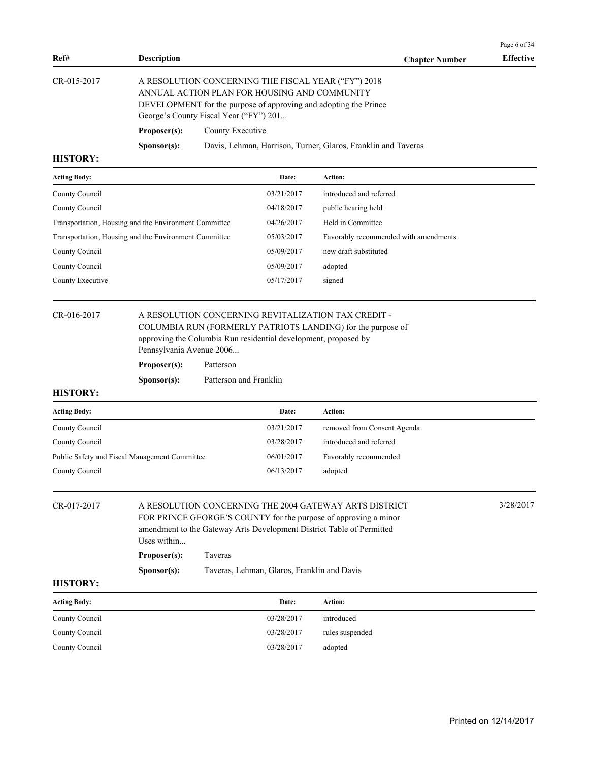| Ref#                                   | <b>Description</b>                                      |                                                                                                                                                                                                                                                              | <b>Chapter Number</b>                                         | Page 6 of 34<br><b>Effective</b> |
|----------------------------------------|---------------------------------------------------------|--------------------------------------------------------------------------------------------------------------------------------------------------------------------------------------------------------------------------------------------------------------|---------------------------------------------------------------|----------------------------------|
| CR-015-2017                            | Proposer(s):                                            | A RESOLUTION CONCERNING THE FISCAL YEAR ("FY") 2018<br>ANNUAL ACTION PLAN FOR HOUSING AND COMMUNITY<br>DEVELOPMENT for the purpose of approving and adopting the Prince<br>George's County Fiscal Year ("FY") 201<br>County Executive                        |                                                               |                                  |
|                                        | Sponsor(s):                                             |                                                                                                                                                                                                                                                              | Davis, Lehman, Harrison, Turner, Glaros, Franklin and Taveras |                                  |
| <b>HISTORY:</b>                        |                                                         |                                                                                                                                                                                                                                                              |                                                               |                                  |
| <b>Acting Body:</b>                    |                                                         | Date:                                                                                                                                                                                                                                                        | Action:                                                       |                                  |
| County Council                         |                                                         | 03/21/2017                                                                                                                                                                                                                                                   | introduced and referred                                       |                                  |
| County Council                         |                                                         | 04/18/2017                                                                                                                                                                                                                                                   | public hearing held                                           |                                  |
|                                        | Transportation, Housing and the Environment Committee   | 04/26/2017                                                                                                                                                                                                                                                   | Held in Committee                                             |                                  |
|                                        | Transportation, Housing and the Environment Committee   | 05/03/2017                                                                                                                                                                                                                                                   | Favorably recommended with amendments                         |                                  |
| County Council                         |                                                         | 05/09/2017                                                                                                                                                                                                                                                   | new draft substituted                                         |                                  |
| County Council                         |                                                         | 05/09/2017                                                                                                                                                                                                                                                   | adopted                                                       |                                  |
| County Executive                       |                                                         | 05/17/2017                                                                                                                                                                                                                                                   | signed                                                        |                                  |
| <b>HISTORY:</b><br><b>Acting Body:</b> | Pennsylvania Avenue 2006<br>Proposer(s):<br>Sponsor(s): | Patterson<br>Patterson and Franklin<br>Date:                                                                                                                                                                                                                 | Action:                                                       |                                  |
| County Council                         |                                                         | 03/21/2017                                                                                                                                                                                                                                                   | removed from Consent Agenda                                   |                                  |
| County Council                         |                                                         | 03/28/2017                                                                                                                                                                                                                                                   | introduced and referred                                       |                                  |
|                                        | Public Safety and Fiscal Management Committee           | 06/01/2017                                                                                                                                                                                                                                                   | Favorably recommended                                         |                                  |
| County Council                         |                                                         | 06/13/2017                                                                                                                                                                                                                                                   | adopted                                                       |                                  |
| CR-017-2017<br><b>HISTORY:</b>         | Uses within<br>Proposer(s):<br>Sponsor(s):              | A RESOLUTION CONCERNING THE 2004 GATEWAY ARTS DISTRICT<br>FOR PRINCE GEORGE'S COUNTY for the purpose of approving a minor<br>amendment to the Gateway Arts Development District Table of Permitted<br>Taveras<br>Taveras, Lehman, Glaros, Franklin and Davis |                                                               | 3/28/2017                        |
| <b>Acting Body:</b>                    |                                                         | Date:                                                                                                                                                                                                                                                        | Action:                                                       |                                  |
| County Council                         |                                                         |                                                                                                                                                                                                                                                              |                                                               |                                  |
| County Council                         |                                                         | 03/28/2017                                                                                                                                                                                                                                                   | introduced                                                    |                                  |
|                                        |                                                         | 03/28/2017                                                                                                                                                                                                                                                   | rules suspended                                               |                                  |
| County Council                         |                                                         | 03/28/2017                                                                                                                                                                                                                                                   | adopted                                                       |                                  |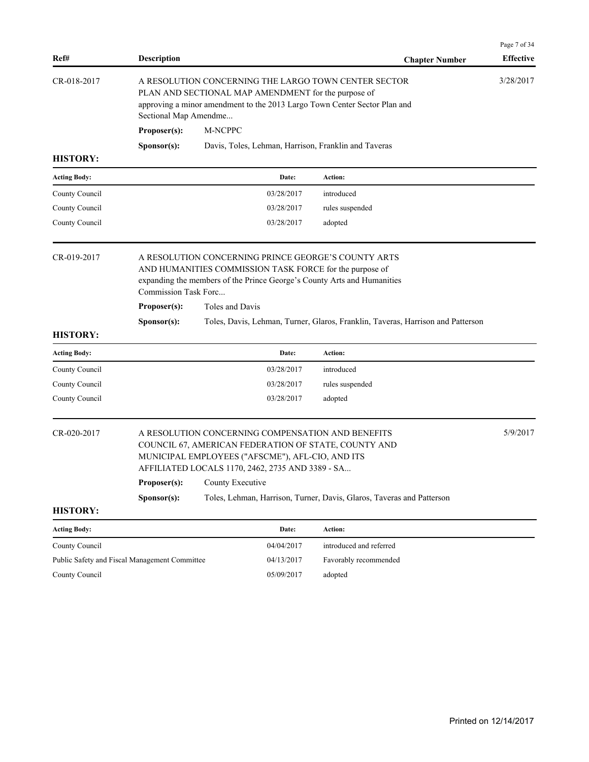| Ref#                | <b>Description</b>                                                                                                                                                                                                |                                                                                                                                                                                                                   | <b>Chapter Number</b>                                                           | Page 7 of 34<br><b>Effective</b> |  |  |
|---------------------|-------------------------------------------------------------------------------------------------------------------------------------------------------------------------------------------------------------------|-------------------------------------------------------------------------------------------------------------------------------------------------------------------------------------------------------------------|---------------------------------------------------------------------------------|----------------------------------|--|--|
| CR-018-2017         |                                                                                                                                                                                                                   | A RESOLUTION CONCERNING THE LARGO TOWN CENTER SECTOR<br>PLAN AND SECTIONAL MAP AMENDMENT for the purpose of<br>approving a minor amendment to the 2013 Largo Town Center Sector Plan and<br>Sectional Map Amendme |                                                                                 |                                  |  |  |
|                     | Proposer(s):                                                                                                                                                                                                      | M-NCPPC                                                                                                                                                                                                           |                                                                                 |                                  |  |  |
|                     | Sponsor(s):                                                                                                                                                                                                       | Davis, Toles, Lehman, Harrison, Franklin and Taveras                                                                                                                                                              |                                                                                 |                                  |  |  |
| <b>HISTORY:</b>     |                                                                                                                                                                                                                   |                                                                                                                                                                                                                   |                                                                                 |                                  |  |  |
| <b>Acting Body:</b> |                                                                                                                                                                                                                   | Date:                                                                                                                                                                                                             | Action:                                                                         |                                  |  |  |
| County Council      |                                                                                                                                                                                                                   | 03/28/2017                                                                                                                                                                                                        | introduced                                                                      |                                  |  |  |
| County Council      |                                                                                                                                                                                                                   | 03/28/2017                                                                                                                                                                                                        | rules suspended                                                                 |                                  |  |  |
| County Council      |                                                                                                                                                                                                                   | 03/28/2017                                                                                                                                                                                                        | adopted                                                                         |                                  |  |  |
| CR-019-2017         | Commission Task Forc<br>Proposer(s):                                                                                                                                                                              | A RESOLUTION CONCERNING PRINCE GEORGE'S COUNTY ARTS<br>AND HUMANITIES COMMISSION TASK FORCE for the purpose of<br>expanding the members of the Prince George's County Arts and Humanities<br>Toles and Davis      |                                                                                 |                                  |  |  |
|                     | Sponsor(s):                                                                                                                                                                                                       |                                                                                                                                                                                                                   | Toles, Davis, Lehman, Turner, Glaros, Franklin, Taveras, Harrison and Patterson |                                  |  |  |
| <b>HISTORY:</b>     |                                                                                                                                                                                                                   |                                                                                                                                                                                                                   |                                                                                 |                                  |  |  |
| <b>Acting Body:</b> |                                                                                                                                                                                                                   | Date:                                                                                                                                                                                                             | Action:                                                                         |                                  |  |  |
| County Council      |                                                                                                                                                                                                                   | 03/28/2017                                                                                                                                                                                                        | introduced                                                                      |                                  |  |  |
| County Council      |                                                                                                                                                                                                                   | 03/28/2017                                                                                                                                                                                                        | rules suspended                                                                 |                                  |  |  |
| County Council      |                                                                                                                                                                                                                   | 03/28/2017                                                                                                                                                                                                        | adopted                                                                         |                                  |  |  |
| CR-020-2017         | A RESOLUTION CONCERNING COMPENSATION AND BENEFITS<br>COUNCIL 67, AMERICAN FEDERATION OF STATE, COUNTY AND<br>MUNICIPAL EMPLOYEES ("AFSCME"), AFL-CIO, AND ITS<br>AFFILIATED LOCALS 1170, 2462, 2735 AND 3389 - SA |                                                                                                                                                                                                                   |                                                                                 | 5/9/2017                         |  |  |
|                     | Proposer(s):                                                                                                                                                                                                      | County Executive                                                                                                                                                                                                  |                                                                                 |                                  |  |  |
|                     | Sponsor(s):                                                                                                                                                                                                       |                                                                                                                                                                                                                   | Toles, Lehman, Harrison, Turner, Davis, Glaros, Taveras and Patterson           |                                  |  |  |
| <b>HISTORY:</b>     |                                                                                                                                                                                                                   |                                                                                                                                                                                                                   |                                                                                 |                                  |  |  |
| <b>Acting Body:</b> |                                                                                                                                                                                                                   | Date:                                                                                                                                                                                                             | Action:                                                                         |                                  |  |  |
| County Council      |                                                                                                                                                                                                                   | 04/04/2017                                                                                                                                                                                                        | introduced and referred                                                         |                                  |  |  |
|                     | Public Safety and Fiscal Management Committee                                                                                                                                                                     | 04/13/2017                                                                                                                                                                                                        | Favorably recommended                                                           |                                  |  |  |

County Council 05/09/2017 adopted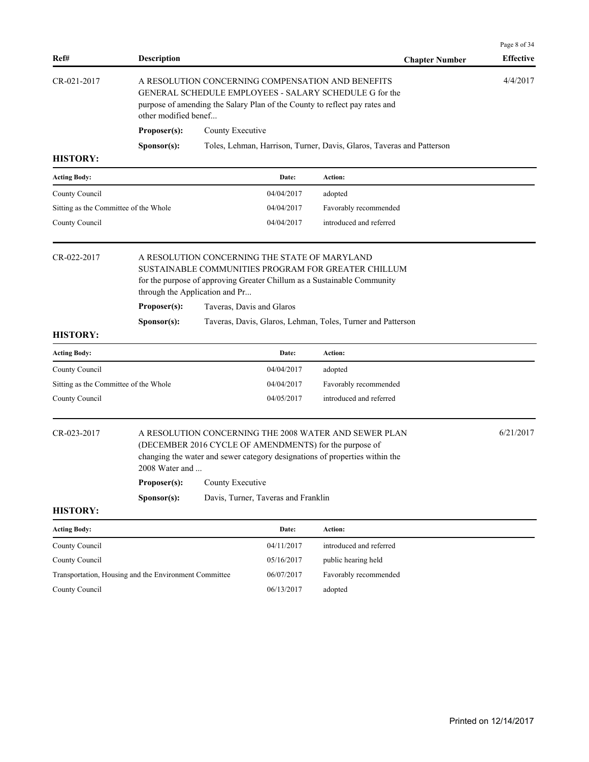| Ref#                                                  | <b>Description</b>             |                                                                                                                                                                                           |                                               | <b>Chapter Number</b>                                                                                                                                                                          | Page 8 of 34<br><b>Effective</b> |  |
|-------------------------------------------------------|--------------------------------|-------------------------------------------------------------------------------------------------------------------------------------------------------------------------------------------|-----------------------------------------------|------------------------------------------------------------------------------------------------------------------------------------------------------------------------------------------------|----------------------------------|--|
| CR-021-2017                                           | other modified benef           | A RESOLUTION CONCERNING COMPENSATION AND BENEFITS<br>GENERAL SCHEDULE EMPLOYEES - SALARY SCHEDULE G for the<br>purpose of amending the Salary Plan of the County to reflect pay rates and |                                               |                                                                                                                                                                                                |                                  |  |
|                                                       | Proposer(s):                   | County Executive                                                                                                                                                                          |                                               |                                                                                                                                                                                                |                                  |  |
|                                                       | Sponsor(s):                    |                                                                                                                                                                                           |                                               | Toles, Lehman, Harrison, Turner, Davis, Glaros, Taveras and Patterson                                                                                                                          |                                  |  |
| <b>HISTORY:</b>                                       |                                |                                                                                                                                                                                           |                                               |                                                                                                                                                                                                |                                  |  |
| <b>Acting Body:</b>                                   |                                |                                                                                                                                                                                           | Date:                                         | Action:                                                                                                                                                                                        |                                  |  |
| County Council                                        |                                |                                                                                                                                                                                           | 04/04/2017                                    | adopted                                                                                                                                                                                        |                                  |  |
| Sitting as the Committee of the Whole                 |                                |                                                                                                                                                                                           | 04/04/2017                                    | Favorably recommended                                                                                                                                                                          |                                  |  |
| County Council                                        |                                |                                                                                                                                                                                           | 04/04/2017                                    | introduced and referred                                                                                                                                                                        |                                  |  |
| CR-022-2017                                           | through the Application and Pr |                                                                                                                                                                                           | A RESOLUTION CONCERNING THE STATE OF MARYLAND | SUSTAINABLE COMMUNITIES PROGRAM FOR GREATER CHILLUM<br>for the purpose of approving Greater Chillum as a Sustainable Community                                                                 |                                  |  |
|                                                       | Proposer(s):                   |                                                                                                                                                                                           | Taveras, Davis and Glaros                     |                                                                                                                                                                                                |                                  |  |
| <b>HISTORY:</b>                                       | Sponsor(s):                    |                                                                                                                                                                                           |                                               | Taveras, Davis, Glaros, Lehman, Toles, Turner and Patterson                                                                                                                                    |                                  |  |
| <b>Acting Body:</b>                                   |                                |                                                                                                                                                                                           | Date:                                         | Action:                                                                                                                                                                                        |                                  |  |
| County Council                                        |                                |                                                                                                                                                                                           | 04/04/2017                                    | adopted                                                                                                                                                                                        |                                  |  |
| Sitting as the Committee of the Whole                 |                                |                                                                                                                                                                                           | 04/04/2017                                    | Favorably recommended                                                                                                                                                                          |                                  |  |
| County Council                                        |                                |                                                                                                                                                                                           | 04/05/2017                                    | introduced and referred                                                                                                                                                                        |                                  |  |
| CR-023-2017                                           | 2008 Water and                 |                                                                                                                                                                                           |                                               | A RESOLUTION CONCERNING THE 2008 WATER AND SEWER PLAN<br>(DECEMBER 2016 CYCLE OF AMENDMENTS) for the purpose of<br>changing the water and sewer category designations of properties within the | 6/21/2017                        |  |
|                                                       | Proposer(s):                   | County Executive                                                                                                                                                                          |                                               |                                                                                                                                                                                                |                                  |  |
|                                                       | Sponsor(s):                    | Davis, Turner, Taveras and Franklin                                                                                                                                                       |                                               |                                                                                                                                                                                                |                                  |  |
| <b>HISTORY:</b>                                       |                                |                                                                                                                                                                                           |                                               |                                                                                                                                                                                                |                                  |  |
| <b>Acting Body:</b>                                   |                                |                                                                                                                                                                                           | Date:                                         | Action:                                                                                                                                                                                        |                                  |  |
| County Council                                        |                                |                                                                                                                                                                                           | 04/11/2017                                    | introduced and referred                                                                                                                                                                        |                                  |  |
| County Council                                        |                                |                                                                                                                                                                                           | 05/16/2017                                    | public hearing held                                                                                                                                                                            |                                  |  |
| Transportation, Housing and the Environment Committee |                                |                                                                                                                                                                                           | 06/07/2017                                    | Favorably recommended                                                                                                                                                                          |                                  |  |
| County Council                                        |                                |                                                                                                                                                                                           | 06/13/2017                                    | adopted                                                                                                                                                                                        |                                  |  |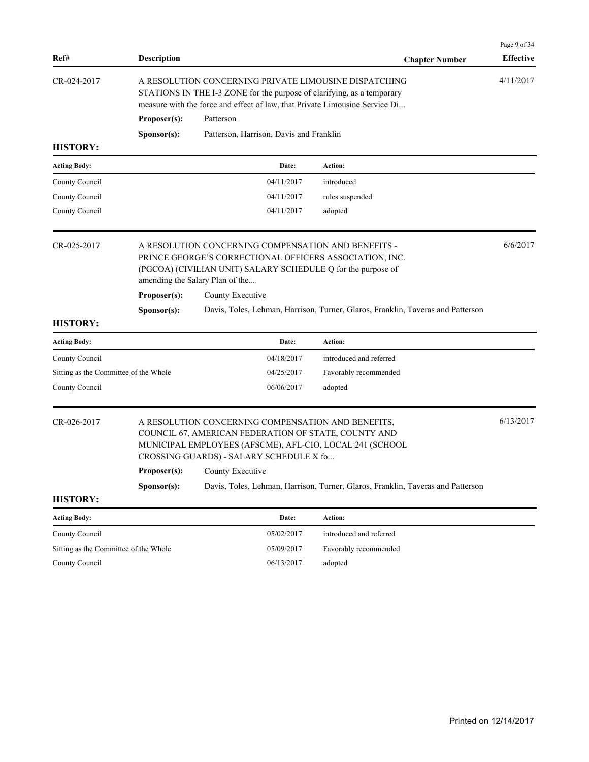| Ref#                                  | <b>Description</b>                                                                                                                                                                                                                                        |                                                                                                                                                                                                                   | <b>Chapter Number</b>                                                           | Page 9 of 34<br><b>Effective</b> |  |
|---------------------------------------|-----------------------------------------------------------------------------------------------------------------------------------------------------------------------------------------------------------------------------------------------------------|-------------------------------------------------------------------------------------------------------------------------------------------------------------------------------------------------------------------|---------------------------------------------------------------------------------|----------------------------------|--|
| CR-024-2017                           |                                                                                                                                                                                                                                                           | A RESOLUTION CONCERNING PRIVATE LIMOUSINE DISPATCHING<br>STATIONS IN THE I-3 ZONE for the purpose of clarifying, as a temporary<br>measure with the force and effect of law, that Private Limousine Service Di    |                                                                                 | 4/11/2017                        |  |
|                                       | Proposer(s):                                                                                                                                                                                                                                              | Patterson                                                                                                                                                                                                         |                                                                                 |                                  |  |
|                                       | Sponsor(s):                                                                                                                                                                                                                                               | Patterson, Harrison, Davis and Franklin                                                                                                                                                                           |                                                                                 |                                  |  |
| <b>HISTORY:</b>                       |                                                                                                                                                                                                                                                           |                                                                                                                                                                                                                   |                                                                                 |                                  |  |
| <b>Acting Body:</b>                   |                                                                                                                                                                                                                                                           | Date:                                                                                                                                                                                                             | Action:                                                                         |                                  |  |
| County Council                        |                                                                                                                                                                                                                                                           | 04/11/2017                                                                                                                                                                                                        | introduced                                                                      |                                  |  |
| County Council                        |                                                                                                                                                                                                                                                           | 04/11/2017                                                                                                                                                                                                        | rules suspended                                                                 |                                  |  |
| County Council                        |                                                                                                                                                                                                                                                           | 04/11/2017                                                                                                                                                                                                        | adopted                                                                         |                                  |  |
| CR-025-2017                           |                                                                                                                                                                                                                                                           | A RESOLUTION CONCERNING COMPENSATION AND BENEFITS -<br>PRINCE GEORGE'S CORRECTIONAL OFFICERS ASSOCIATION, INC.<br>(PGCOA) (CIVILIAN UNIT) SALARY SCHEDULE Q for the purpose of<br>amending the Salary Plan of the |                                                                                 | 6/6/2017                         |  |
|                                       | Proposer(s):<br>County Executive                                                                                                                                                                                                                          |                                                                                                                                                                                                                   |                                                                                 |                                  |  |
|                                       | Sponsor(s):                                                                                                                                                                                                                                               |                                                                                                                                                                                                                   | Davis, Toles, Lehman, Harrison, Turner, Glaros, Franklin, Taveras and Patterson |                                  |  |
| <b>HISTORY:</b>                       |                                                                                                                                                                                                                                                           |                                                                                                                                                                                                                   |                                                                                 |                                  |  |
| <b>Acting Body:</b>                   |                                                                                                                                                                                                                                                           | Date:                                                                                                                                                                                                             | Action:                                                                         |                                  |  |
| County Council                        |                                                                                                                                                                                                                                                           | 04/18/2017                                                                                                                                                                                                        | introduced and referred                                                         |                                  |  |
| Sitting as the Committee of the Whole |                                                                                                                                                                                                                                                           | 04/25/2017                                                                                                                                                                                                        | Favorably recommended                                                           |                                  |  |
| County Council                        |                                                                                                                                                                                                                                                           | 06/06/2017                                                                                                                                                                                                        | adopted                                                                         |                                  |  |
| CR-026-2017                           | A RESOLUTION CONCERNING COMPENSATION AND BENEFITS,<br>COUNCIL 67, AMERICAN FEDERATION OF STATE, COUNTY AND<br>MUNICIPAL EMPLOYEES (AFSCME), AFL-CIO, LOCAL 241 (SCHOOL<br>CROSSING GUARDS) - SALARY SCHEDULE X fo<br><b>Proposer(s):</b> County Executive |                                                                                                                                                                                                                   |                                                                                 |                                  |  |
|                                       | Davis, Toles, Lehman, Harrison, Turner, Glaros, Franklin, Taveras and Patterson<br>Sponsor(s):                                                                                                                                                            |                                                                                                                                                                                                                   |                                                                                 |                                  |  |
| <b>HISTORY:</b>                       |                                                                                                                                                                                                                                                           |                                                                                                                                                                                                                   |                                                                                 |                                  |  |
| <b>Acting Body:</b>                   |                                                                                                                                                                                                                                                           | Date:                                                                                                                                                                                                             | Action:                                                                         |                                  |  |
| County Council                        |                                                                                                                                                                                                                                                           | 05/02/2017                                                                                                                                                                                                        | introduced and referred                                                         |                                  |  |
| Sitting as the Committee of the Whole |                                                                                                                                                                                                                                                           | 05/09/2017                                                                                                                                                                                                        | Favorably recommended                                                           |                                  |  |
| County Council                        |                                                                                                                                                                                                                                                           | 06/13/2017                                                                                                                                                                                                        | adopted                                                                         |                                  |  |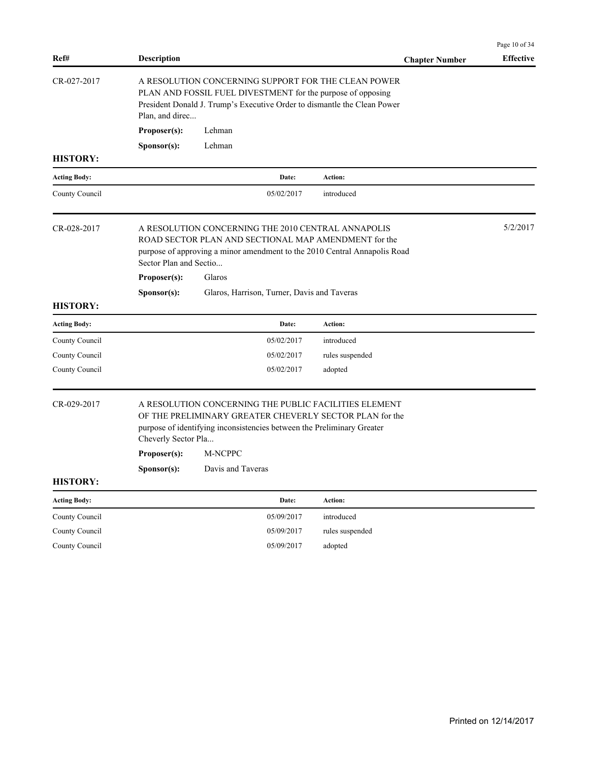| Ref#                | <b>Description</b>                                                                                                                                                                                                | <b>Chapter Number</b> | <b>Effective</b> |
|---------------------|-------------------------------------------------------------------------------------------------------------------------------------------------------------------------------------------------------------------|-----------------------|------------------|
| CR-027-2017         | A RESOLUTION CONCERNING SUPPORT FOR THE CLEAN POWER<br>PLAN AND FOSSIL FUEL DIVESTMENT for the purpose of opposing<br>President Donald J. Trump's Executive Order to dismantle the Clean Power<br>Plan, and direc |                       |                  |
|                     | Proposer(s):<br>Lehman                                                                                                                                                                                            |                       |                  |
|                     | Lehman<br>S <b>p</b> onsor(s):                                                                                                                                                                                    |                       |                  |
| <b>HISTORY:</b>     |                                                                                                                                                                                                                   |                       |                  |
| <b>Acting Body:</b> | Date:                                                                                                                                                                                                             | Action:               |                  |
| County Council      | 05/02/2017                                                                                                                                                                                                        | introduced            |                  |
| CR-028-2017         | A RESOLUTION CONCERNING THE 2010 CENTRAL ANNAPOLIS<br>ROAD SECTOR PLAN AND SECTIONAL MAP AMENDMENT for the<br>purpose of approving a minor amendment to the 2010 Central Annapolis Road<br>Sector Plan and Sectio |                       | 5/2/2017         |
|                     | Proposer(s):<br>Glaros                                                                                                                                                                                            |                       |                  |
|                     | S <b>p</b> onsor(s):<br>Glaros, Harrison, Turner, Davis and Taveras                                                                                                                                               |                       |                  |
| <b>HISTORY:</b>     |                                                                                                                                                                                                                   |                       |                  |
| <b>Acting Body:</b> | Date:                                                                                                                                                                                                             | <b>Action:</b>        |                  |
| County Council      | 05/02/2017                                                                                                                                                                                                        | introduced            |                  |
| County Council      | 05/02/2017                                                                                                                                                                                                        | rules suspended       |                  |
| County Council      | 05/02/2017                                                                                                                                                                                                        | adopted               |                  |
| CR-029-2017         | A RESOLUTION CONCERNING THE PUBLIC FACILITIES ELEMENT<br>OF THE PRELIMINARY GREATER CHEVERLY SECTOR PLAN for the<br>purpose of identifying inconsistencies between the Preliminary Greater<br>Cheverly Sector Pla |                       |                  |
|                     | <b>M-NCPPC</b><br>Proposer(s):                                                                                                                                                                                    |                       |                  |
|                     | Davis and Taveras<br>S <b>p</b> onsor(s):                                                                                                                                                                         |                       |                  |
| <b>HISTORY:</b>     |                                                                                                                                                                                                                   |                       |                  |
| <b>Acting Body:</b> | Date:                                                                                                                                                                                                             | Action:               |                  |
| County Council      | 05/09/2017                                                                                                                                                                                                        | introduced            |                  |
| County Council      | 05/09/2017                                                                                                                                                                                                        | rules suspended       |                  |
| County Council      | 05/09/2017                                                                                                                                                                                                        | adopted               |                  |

Page 10 of 34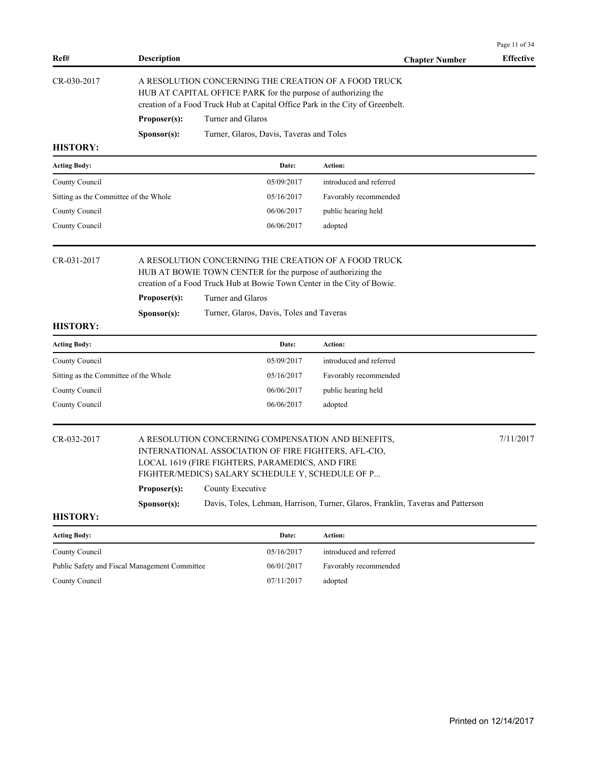| Ref#                                          | Description                                                                                                                                                                                                                                 |                                                                                                                                                                                                                                                                 | <b>Chapter Number</b>                                                           | Page 11 of 34<br><b>Effective</b> |  |
|-----------------------------------------------|---------------------------------------------------------------------------------------------------------------------------------------------------------------------------------------------------------------------------------------------|-----------------------------------------------------------------------------------------------------------------------------------------------------------------------------------------------------------------------------------------------------------------|---------------------------------------------------------------------------------|-----------------------------------|--|
| CR-030-2017                                   | A RESOLUTION CONCERNING THE CREATION OF A FOOD TRUCK<br>HUB AT CAPITAL OFFICE PARK for the purpose of authorizing the<br>creation of a Food Truck Hub at Capital Office Park in the City of Greenbelt.<br>Proposer(s):<br>Turner and Glaros |                                                                                                                                                                                                                                                                 |                                                                                 |                                   |  |
|                                               | Sponsor(s):                                                                                                                                                                                                                                 | Turner, Glaros, Davis, Taveras and Toles                                                                                                                                                                                                                        |                                                                                 |                                   |  |
| <b>HISTORY:</b>                               |                                                                                                                                                                                                                                             |                                                                                                                                                                                                                                                                 |                                                                                 |                                   |  |
| <b>Acting Body:</b>                           |                                                                                                                                                                                                                                             | Date:                                                                                                                                                                                                                                                           | Action:                                                                         |                                   |  |
| County Council                                |                                                                                                                                                                                                                                             | 05/09/2017                                                                                                                                                                                                                                                      | introduced and referred                                                         |                                   |  |
| Sitting as the Committee of the Whole         |                                                                                                                                                                                                                                             | 05/16/2017                                                                                                                                                                                                                                                      | Favorably recommended                                                           |                                   |  |
| County Council                                |                                                                                                                                                                                                                                             | 06/06/2017                                                                                                                                                                                                                                                      | public hearing held                                                             |                                   |  |
| County Council                                |                                                                                                                                                                                                                                             | 06/06/2017                                                                                                                                                                                                                                                      | adopted                                                                         |                                   |  |
| CR-031-2017<br><b>HISTORY:</b>                | Proposer(s):<br>Sponsor(s):                                                                                                                                                                                                                 | A RESOLUTION CONCERNING THE CREATION OF A FOOD TRUCK<br>HUB AT BOWIE TOWN CENTER for the purpose of authorizing the<br>creation of a Food Truck Hub at Bowie Town Center in the City of Bowie.<br>Turner and Glaros<br>Turner, Glaros, Davis, Toles and Taveras |                                                                                 |                                   |  |
| <b>Acting Body:</b>                           |                                                                                                                                                                                                                                             | Date:                                                                                                                                                                                                                                                           | Action:                                                                         |                                   |  |
| County Council                                |                                                                                                                                                                                                                                             | 05/09/2017                                                                                                                                                                                                                                                      | introduced and referred                                                         |                                   |  |
| Sitting as the Committee of the Whole         |                                                                                                                                                                                                                                             | 05/16/2017                                                                                                                                                                                                                                                      | Favorably recommended                                                           |                                   |  |
| County Council                                |                                                                                                                                                                                                                                             | 06/06/2017                                                                                                                                                                                                                                                      | public hearing held                                                             |                                   |  |
| County Council                                |                                                                                                                                                                                                                                             | 06/06/2017                                                                                                                                                                                                                                                      | adopted                                                                         |                                   |  |
| CR-032-2017                                   | Proposer(s):<br>Sponsor(s):                                                                                                                                                                                                                 | A RESOLUTION CONCERNING COMPENSATION AND BENEFITS,<br>INTERNATIONAL ASSOCIATION OF FIRE FIGHTERS, AFL-CIO,<br>LOCAL 1619 (FIRE FIGHTERS, PARAMEDICS, AND FIRE<br>FIGHTER/MEDICS) SALARY SCHEDULE Y, SCHEDULE OF P<br>County Executive                           | Davis, Toles, Lehman, Harrison, Turner, Glaros, Franklin, Taveras and Patterson | 7/11/2017                         |  |
| <b>HISTORY:</b>                               |                                                                                                                                                                                                                                             |                                                                                                                                                                                                                                                                 |                                                                                 |                                   |  |
| <b>Acting Body:</b>                           |                                                                                                                                                                                                                                             | Date:                                                                                                                                                                                                                                                           | Action:                                                                         |                                   |  |
| County Council                                |                                                                                                                                                                                                                                             | 05/16/2017                                                                                                                                                                                                                                                      | introduced and referred                                                         |                                   |  |
| Public Safety and Fiscal Management Committee |                                                                                                                                                                                                                                             | 06/01/2017                                                                                                                                                                                                                                                      | Favorably recommended                                                           |                                   |  |
| County Council                                |                                                                                                                                                                                                                                             | 07/11/2017                                                                                                                                                                                                                                                      | adopted                                                                         |                                   |  |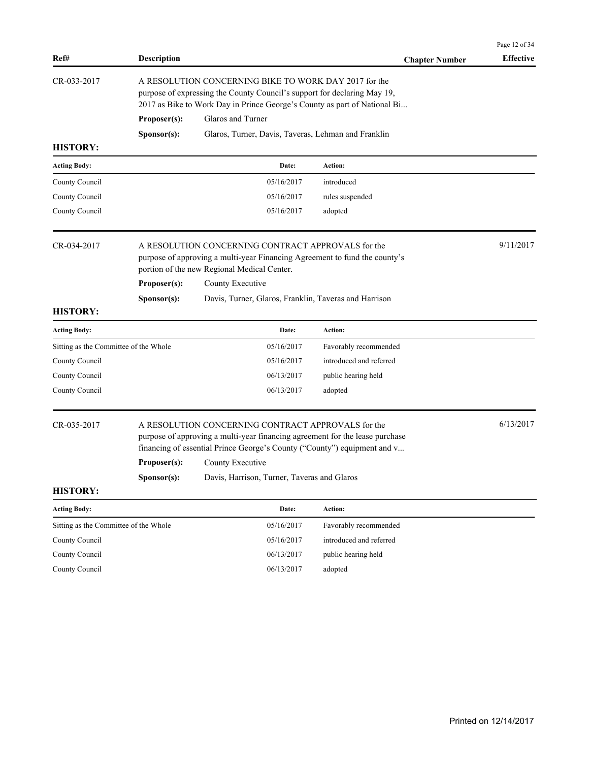|                                       |                             |                                                                                                                                                                                                                                                                                   |                         | Page 12 of 34    |  |  |
|---------------------------------------|-----------------------------|-----------------------------------------------------------------------------------------------------------------------------------------------------------------------------------------------------------------------------------------------------------------------------------|-------------------------|------------------|--|--|
| Ref#                                  | <b>Description</b>          |                                                                                                                                                                                                                                                                                   | <b>Chapter Number</b>   | <b>Effective</b> |  |  |
| CR-033-2017                           |                             | A RESOLUTION CONCERNING BIKE TO WORK DAY 2017 for the<br>purpose of expressing the County Council's support for declaring May 19,<br>2017 as Bike to Work Day in Prince George's County as part of National Bi                                                                    |                         |                  |  |  |
|                                       | Proposer(s):                | Glaros and Turner                                                                                                                                                                                                                                                                 |                         |                  |  |  |
|                                       | Sponsor(s):                 | Glaros, Turner, Davis, Taveras, Lehman and Franklin                                                                                                                                                                                                                               |                         |                  |  |  |
| <b>HISTORY:</b>                       |                             |                                                                                                                                                                                                                                                                                   |                         |                  |  |  |
| <b>Acting Body:</b>                   |                             | Date:                                                                                                                                                                                                                                                                             | Action:                 |                  |  |  |
| County Council                        |                             | 05/16/2017                                                                                                                                                                                                                                                                        | introduced              |                  |  |  |
| County Council                        |                             | 05/16/2017                                                                                                                                                                                                                                                                        | rules suspended         |                  |  |  |
| County Council                        |                             | 05/16/2017                                                                                                                                                                                                                                                                        | adopted                 |                  |  |  |
| CR-034-2017                           |                             | A RESOLUTION CONCERNING CONTRACT APPROVALS for the<br>purpose of approving a multi-year Financing Agreement to fund the county's<br>portion of the new Regional Medical Center.                                                                                                   |                         |                  |  |  |
|                                       | Proposer(s):                | County Executive                                                                                                                                                                                                                                                                  |                         |                  |  |  |
|                                       | Sponsor(s):                 | Davis, Turner, Glaros, Franklin, Taveras and Harrison                                                                                                                                                                                                                             |                         |                  |  |  |
| <b>HISTORY:</b>                       |                             |                                                                                                                                                                                                                                                                                   |                         |                  |  |  |
| <b>Acting Body:</b>                   |                             | Date:                                                                                                                                                                                                                                                                             | Action:                 |                  |  |  |
| Sitting as the Committee of the Whole |                             | 05/16/2017                                                                                                                                                                                                                                                                        | Favorably recommended   |                  |  |  |
| County Council                        |                             | 05/16/2017                                                                                                                                                                                                                                                                        | introduced and referred |                  |  |  |
| County Council                        |                             | 06/13/2017                                                                                                                                                                                                                                                                        | public hearing held     |                  |  |  |
| County Council                        |                             | 06/13/2017                                                                                                                                                                                                                                                                        | adopted                 |                  |  |  |
| CR-035-2017                           | Proposer(s):<br>Sponsor(s): | A RESOLUTION CONCERNING CONTRACT APPROVALS for the<br>purpose of approving a multi-year financing agreement for the lease purchase<br>financing of essential Prince George's County ("County") equipment and v<br>County Executive<br>Davis, Harrison, Turner, Taveras and Glaros |                         | 6/13/2017        |  |  |
| <b>HISTORY:</b>                       |                             |                                                                                                                                                                                                                                                                                   |                         |                  |  |  |
| <b>Acting Body:</b>                   |                             | Date:                                                                                                                                                                                                                                                                             | Action:                 |                  |  |  |
| Sitting as the Committee of the Whole |                             | 05/16/2017                                                                                                                                                                                                                                                                        | Favorably recommended   |                  |  |  |
| County Council                        |                             | 05/16/2017                                                                                                                                                                                                                                                                        | introduced and referred |                  |  |  |
| County Council                        |                             | 06/13/2017                                                                                                                                                                                                                                                                        | public hearing held     |                  |  |  |
| County Council                        |                             | 06/13/2017                                                                                                                                                                                                                                                                        | adopted                 |                  |  |  |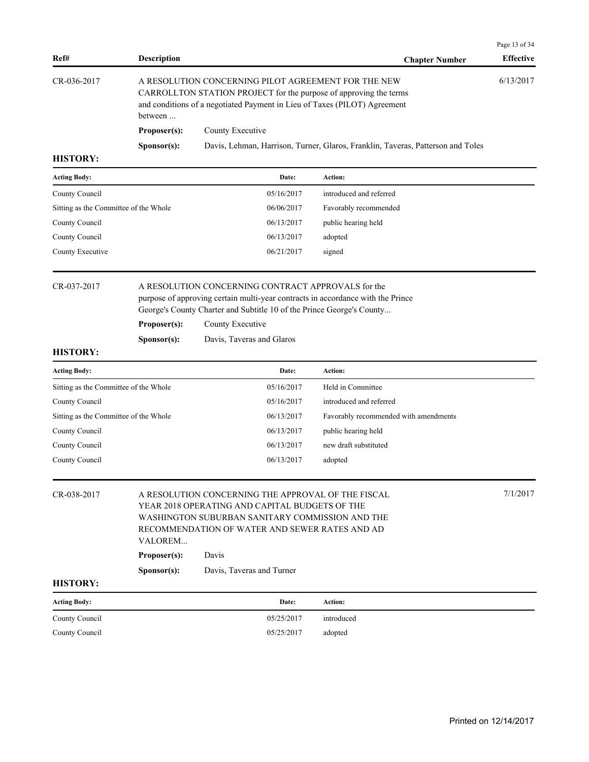| Ref#            | <b>Description</b>   | <b>Chapter Number</b>                                                                                                                                                                                 | <b>Effective</b> |
|-----------------|----------------------|-------------------------------------------------------------------------------------------------------------------------------------------------------------------------------------------------------|------------------|
| CR-036-2017     | between              | A RESOLUTION CONCERNING PILOT AGREEMENT FOR THE NEW<br>CARROLLTON STATION PROJECT for the purpose of approving the terms<br>and conditions of a negotiated Payment in Lieu of Taxes (PILOT) Agreement | 6/13/2017        |
|                 | Proposer(s):         | County Executive                                                                                                                                                                                      |                  |
|                 | S <b>p</b> onsor(s): | Davis, Lehman, Harrison, Turner, Glaros, Franklin, Taveras, Patterson and Toles                                                                                                                       |                  |
| <b>HISTORY:</b> |                      |                                                                                                                                                                                                       |                  |

| <b>Acting Body:</b>                   | Date:      | Action:                 |
|---------------------------------------|------------|-------------------------|
| County Council                        | 05/16/2017 | introduced and referred |
| Sitting as the Committee of the Whole | 06/06/2017 | Favorably recommended   |
| County Council                        | 06/13/2017 | public hearing held     |
| County Council                        | 06/13/2017 | adopted                 |
| County Executive                      | 06/21/2017 | signed                  |
|                                       |            |                         |

CR-037-2017 A RESOLUTION CONCERNING CONTRACT APPROVALS for the purpose of approving certain multi-year contracts in accordance with the Prince George's County Charter and Subtitle 10 of the Prince George's County...

Proposer(s): County Executive

| Sponsor(s): | Davis, Taveras and Glaros |  |
|-------------|---------------------------|--|
|-------------|---------------------------|--|

## **HISTORY:**

| <b>Acting Body:</b>                   | Date:      | Action:                               |
|---------------------------------------|------------|---------------------------------------|
| Sitting as the Committee of the Whole | 05/16/2017 | Held in Committee                     |
| County Council                        | 05/16/2017 | introduced and referred               |
| Sitting as the Committee of the Whole | 06/13/2017 | Favorably recommended with amendments |
| County Council                        | 06/13/2017 | public hearing held                   |
| County Council                        | 06/13/2017 | new draft substituted                 |
| County Council                        | 06/13/2017 | adopted                               |

| CR-038-2017         | VALOREM              | 7/1/2017<br>A RESOLUTION CONCERNING THE APPROVAL OF THE FISCAL<br>YEAR 2018 OPERATING AND CAPITAL BUDGETS OF THE<br>WASHINGTON SUBURBAN SANITARY COMMISSION AND THE<br>RECOMMENDATION OF WATER AND SEWER RATES AND AD |            |  |  |  |  |
|---------------------|----------------------|-----------------------------------------------------------------------------------------------------------------------------------------------------------------------------------------------------------------------|------------|--|--|--|--|
|                     | Proposer(s):         | Davis                                                                                                                                                                                                                 |            |  |  |  |  |
|                     | S <b>p</b> onsor(s): | Davis, Taveras and Turner                                                                                                                                                                                             |            |  |  |  |  |
| <b>HISTORY:</b>     |                      |                                                                                                                                                                                                                       |            |  |  |  |  |
| <b>Acting Body:</b> |                      | Date:                                                                                                                                                                                                                 | Action:    |  |  |  |  |
| County Council      |                      | 05/25/2017                                                                                                                                                                                                            | introduced |  |  |  |  |
| County Council      |                      | 05/25/2017                                                                                                                                                                                                            | adopted    |  |  |  |  |

Page 13 of 34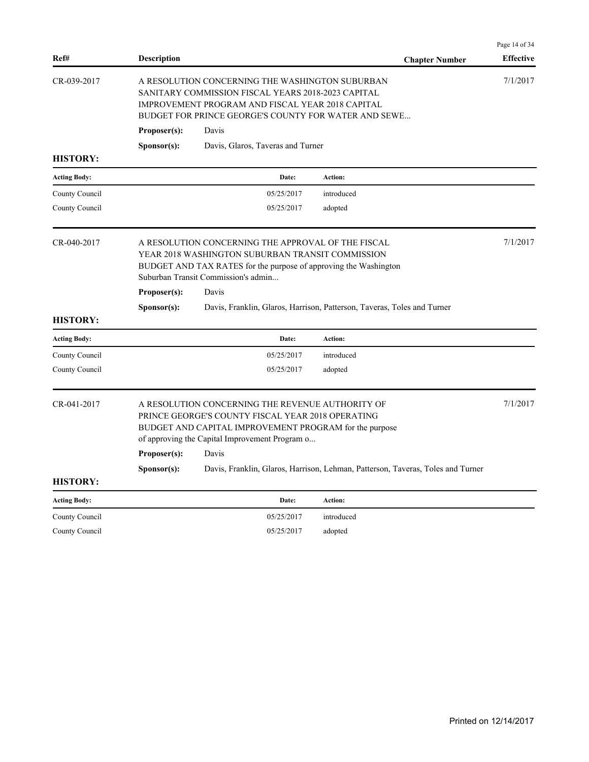|                     |                                                                                                                                                                                                                                                                                                                                                       |                                   |                                                                         | Page 14 of 34    |  |
|---------------------|-------------------------------------------------------------------------------------------------------------------------------------------------------------------------------------------------------------------------------------------------------------------------------------------------------------------------------------------------------|-----------------------------------|-------------------------------------------------------------------------|------------------|--|
| Ref#                | <b>Description</b>                                                                                                                                                                                                                                                                                                                                    |                                   | <b>Chapter Number</b>                                                   | <b>Effective</b> |  |
| CR-039-2017         | A RESOLUTION CONCERNING THE WASHINGTON SUBURBAN<br>SANITARY COMMISSION FISCAL YEARS 2018-2023 CAPITAL<br>IMPROVEMENT PROGRAM AND FISCAL YEAR 2018 CAPITAL<br><b>BUDGET FOR PRINCE GEORGE'S COUNTY FOR WATER AND SEWE</b><br>Proposer(s):<br>Davis                                                                                                     |                                   |                                                                         |                  |  |
|                     | Sponsor(s):                                                                                                                                                                                                                                                                                                                                           | Davis, Glaros, Taveras and Turner |                                                                         |                  |  |
| <b>HISTORY:</b>     |                                                                                                                                                                                                                                                                                                                                                       |                                   |                                                                         |                  |  |
| <b>Acting Body:</b> |                                                                                                                                                                                                                                                                                                                                                       | Date:                             | Action:                                                                 |                  |  |
| County Council      |                                                                                                                                                                                                                                                                                                                                                       | 05/25/2017                        | introduced                                                              |                  |  |
| County Council      |                                                                                                                                                                                                                                                                                                                                                       | 05/25/2017                        | adopted                                                                 |                  |  |
| CR-040-2017         | A RESOLUTION CONCERNING THE APPROVAL OF THE FISCAL<br>YEAR 2018 WASHINGTON SUBURBAN TRANSIT COMMISSION<br>BUDGET AND TAX RATES for the purpose of approving the Washington<br>Suburban Transit Commission's admin                                                                                                                                     |                                   |                                                                         |                  |  |
|                     | Proposer(s):                                                                                                                                                                                                                                                                                                                                          | Davis                             |                                                                         |                  |  |
| <b>HISTORY:</b>     | S <b>p</b> onsor(s):                                                                                                                                                                                                                                                                                                                                  |                                   | Davis, Franklin, Glaros, Harrison, Patterson, Taveras, Toles and Turner |                  |  |
| <b>Acting Body:</b> |                                                                                                                                                                                                                                                                                                                                                       | Date:                             | Action:                                                                 |                  |  |
| County Council      |                                                                                                                                                                                                                                                                                                                                                       | 05/25/2017                        | introduced                                                              |                  |  |
| County Council      |                                                                                                                                                                                                                                                                                                                                                       | 05/25/2017                        | adopted                                                                 |                  |  |
| CR-041-2017         | A RESOLUTION CONCERNING THE REVENUE AUTHORITY OF<br>PRINCE GEORGE'S COUNTY FISCAL YEAR 2018 OPERATING<br>BUDGET AND CAPITAL IMPROVEMENT PROGRAM for the purpose<br>of approving the Capital Improvement Program o<br>Proposer(s):<br>Davis<br>Davis, Franklin, Glaros, Harrison, Lehman, Patterson, Taveras, Toles and Turner<br>S <b>p</b> onsor(s): |                                   |                                                                         |                  |  |
| <b>HISTORY:</b>     |                                                                                                                                                                                                                                                                                                                                                       |                                   |                                                                         |                  |  |
| <b>Acting Body:</b> |                                                                                                                                                                                                                                                                                                                                                       | Date:                             | <b>Action:</b>                                                          |                  |  |
| County Council      |                                                                                                                                                                                                                                                                                                                                                       | 05/25/2017                        | introduced                                                              |                  |  |
| County Council      |                                                                                                                                                                                                                                                                                                                                                       | 05/25/2017                        | adopted                                                                 |                  |  |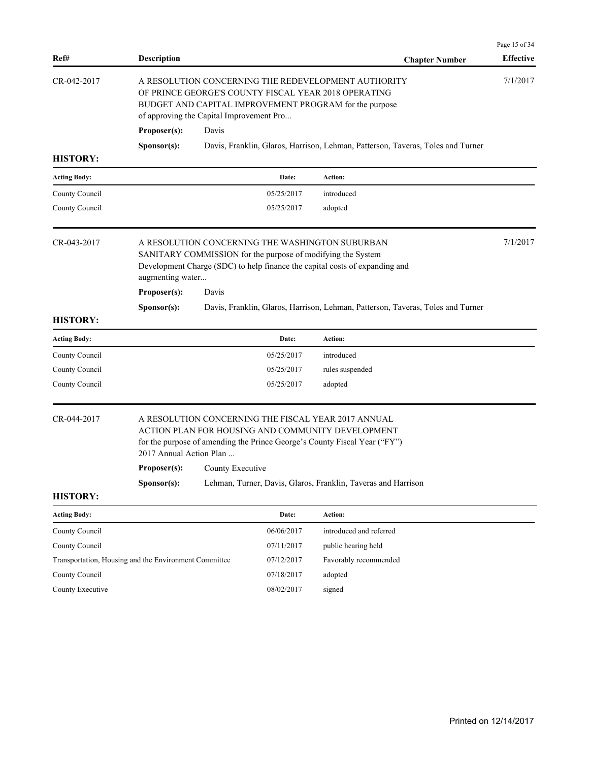| Ref#                                                  | <b>Description</b>                                                                                                                                                                                                |                  |            | <b>Chapter Number</b>                                                                                                                                                                         | Page 15 of 34<br><b>Effective</b> |
|-------------------------------------------------------|-------------------------------------------------------------------------------------------------------------------------------------------------------------------------------------------------------------------|------------------|------------|-----------------------------------------------------------------------------------------------------------------------------------------------------------------------------------------------|-----------------------------------|
| CR-042-2017                                           | A RESOLUTION CONCERNING THE REDEVELOPMENT AUTHORITY<br>OF PRINCE GEORGE'S COUNTY FISCAL YEAR 2018 OPERATING<br>BUDGET AND CAPITAL IMPROVEMENT PROGRAM for the purpose<br>of approving the Capital Improvement Pro |                  |            |                                                                                                                                                                                               | 7/1/2017                          |
|                                                       | Proposer(s):                                                                                                                                                                                                      | Davis            |            |                                                                                                                                                                                               |                                   |
|                                                       | Sponsor(s):                                                                                                                                                                                                       |                  |            | Davis, Franklin, Glaros, Harrison, Lehman, Patterson, Taveras, Toles and Turner                                                                                                               |                                   |
| <b>HISTORY:</b>                                       |                                                                                                                                                                                                                   |                  |            |                                                                                                                                                                                               |                                   |
| <b>Acting Body:</b>                                   |                                                                                                                                                                                                                   |                  | Date:      | Action:                                                                                                                                                                                       |                                   |
| County Council                                        |                                                                                                                                                                                                                   |                  | 05/25/2017 | introduced                                                                                                                                                                                    |                                   |
| County Council                                        |                                                                                                                                                                                                                   |                  | 05/25/2017 | adopted                                                                                                                                                                                       |                                   |
| CR-043-2017                                           | augmenting water                                                                                                                                                                                                  |                  |            | A RESOLUTION CONCERNING THE WASHINGTON SUBURBAN<br>SANITARY COMMISSION for the purpose of modifying the System<br>Development Charge (SDC) to help finance the capital costs of expanding and | 7/1/2017                          |
|                                                       | Proposer(s):                                                                                                                                                                                                      | Davis            |            |                                                                                                                                                                                               |                                   |
|                                                       | Sponsor(s):                                                                                                                                                                                                       |                  |            | Davis, Franklin, Glaros, Harrison, Lehman, Patterson, Taveras, Toles and Turner                                                                                                               |                                   |
| <b>HISTORY:</b>                                       |                                                                                                                                                                                                                   |                  |            |                                                                                                                                                                                               |                                   |
| <b>Acting Body:</b>                                   |                                                                                                                                                                                                                   |                  | Date:      | Action:                                                                                                                                                                                       |                                   |
| County Council                                        |                                                                                                                                                                                                                   |                  | 05/25/2017 | introduced                                                                                                                                                                                    |                                   |
| County Council                                        |                                                                                                                                                                                                                   |                  | 05/25/2017 | rules suspended                                                                                                                                                                               |                                   |
| County Council                                        |                                                                                                                                                                                                                   |                  | 05/25/2017 | adopted                                                                                                                                                                                       |                                   |
| CR-044-2017                                           | 2017 Annual Action Plan                                                                                                                                                                                           |                  |            | A RESOLUTION CONCERNING THE FISCAL YEAR 2017 ANNUAL<br>ACTION PLAN FOR HOUSING AND COMMUNITY DEVELOPMENT<br>for the purpose of amending the Prince George's County Fiscal Year ("FY")         |                                   |
|                                                       | Proposer(s):                                                                                                                                                                                                      | County Executive |            |                                                                                                                                                                                               |                                   |
|                                                       | Lehman, Turner, Davis, Glaros, Franklin, Taveras and Harrison<br>Sponsor(s):                                                                                                                                      |                  |            |                                                                                                                                                                                               |                                   |
| <b>HISTORY:</b>                                       |                                                                                                                                                                                                                   |                  |            |                                                                                                                                                                                               |                                   |
| <b>Acting Body:</b>                                   |                                                                                                                                                                                                                   |                  | Date:      | Action:                                                                                                                                                                                       |                                   |
| County Council                                        |                                                                                                                                                                                                                   |                  | 06/06/2017 | introduced and referred                                                                                                                                                                       |                                   |
| County Council                                        |                                                                                                                                                                                                                   |                  | 07/11/2017 | public hearing held                                                                                                                                                                           |                                   |
| Transportation, Housing and the Environment Committee |                                                                                                                                                                                                                   |                  | 07/12/2017 | Favorably recommended                                                                                                                                                                         |                                   |
| County Council                                        |                                                                                                                                                                                                                   |                  | 07/18/2017 | adopted                                                                                                                                                                                       |                                   |
| County Executive                                      |                                                                                                                                                                                                                   |                  | 08/02/2017 |                                                                                                                                                                                               |                                   |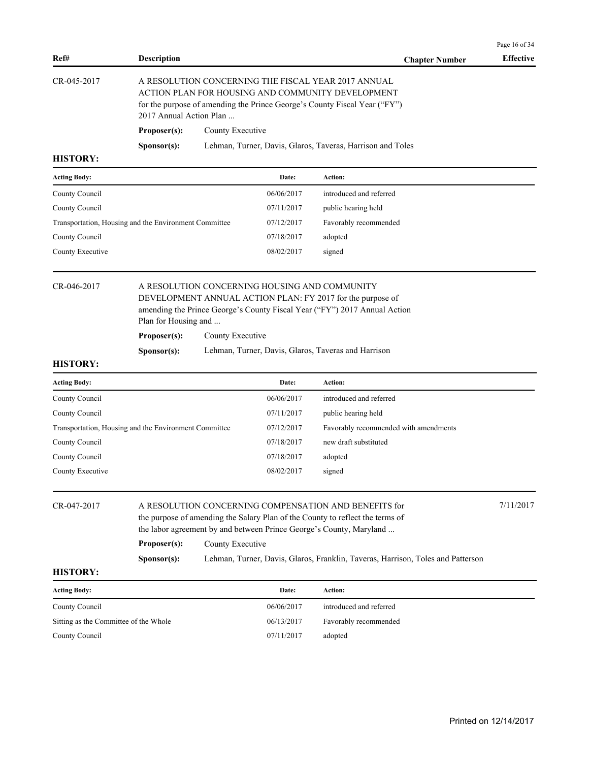| Ref#                                                  |                                                                                                                                                                                                                            |                  |                                               |                                                                                                                                                                                                | Page 16 of 34<br><b>Effective</b> |
|-------------------------------------------------------|----------------------------------------------------------------------------------------------------------------------------------------------------------------------------------------------------------------------------|------------------|-----------------------------------------------|------------------------------------------------------------------------------------------------------------------------------------------------------------------------------------------------|-----------------------------------|
|                                                       | <b>Description</b>                                                                                                                                                                                                         |                  |                                               | <b>Chapter Number</b>                                                                                                                                                                          |                                   |
| CR-045-2017                                           | 2017 Annual Action Plan                                                                                                                                                                                                    |                  |                                               | A RESOLUTION CONCERNING THE FISCAL YEAR 2017 ANNUAL<br>ACTION PLAN FOR HOUSING AND COMMUNITY DEVELOPMENT<br>for the purpose of amending the Prince George's County Fiscal Year ("FY")          |                                   |
|                                                       | Proposer(s):                                                                                                                                                                                                               | County Executive |                                               |                                                                                                                                                                                                |                                   |
|                                                       | Sponsor(s):                                                                                                                                                                                                                |                  |                                               | Lehman, Turner, Davis, Glaros, Taveras, Harrison and Toles                                                                                                                                     |                                   |
| <b>HISTORY:</b>                                       |                                                                                                                                                                                                                            |                  |                                               |                                                                                                                                                                                                |                                   |
| <b>Acting Body:</b>                                   |                                                                                                                                                                                                                            |                  | Date:                                         | Action:                                                                                                                                                                                        |                                   |
| County Council                                        |                                                                                                                                                                                                                            |                  | 06/06/2017                                    | introduced and referred                                                                                                                                                                        |                                   |
| County Council                                        |                                                                                                                                                                                                                            |                  | 07/11/2017                                    | public hearing held                                                                                                                                                                            |                                   |
| Transportation, Housing and the Environment Committee |                                                                                                                                                                                                                            |                  | 07/12/2017                                    | Favorably recommended                                                                                                                                                                          |                                   |
| County Council                                        |                                                                                                                                                                                                                            |                  | 07/18/2017                                    | adopted                                                                                                                                                                                        |                                   |
| County Executive                                      |                                                                                                                                                                                                                            |                  | 08/02/2017                                    | signed                                                                                                                                                                                         |                                   |
|                                                       | Plan for Housing and<br>Proposer(s):<br>Sponsor(s):                                                                                                                                                                        | County Executive | A RESOLUTION CONCERNING HOUSING AND COMMUNITY | DEVELOPMENT ANNUAL ACTION PLAN: FY 2017 for the purpose of<br>amending the Prince George's County Fiscal Year ("FY") 2017 Annual Action<br>Lehman, Turner, Davis, Glaros, Taveras and Harrison |                                   |
| <b>HISTORY:</b>                                       |                                                                                                                                                                                                                            |                  |                                               |                                                                                                                                                                                                |                                   |
| <b>Acting Body:</b>                                   |                                                                                                                                                                                                                            |                  | Date:                                         | Action:                                                                                                                                                                                        |                                   |
| County Council                                        |                                                                                                                                                                                                                            |                  | 06/06/2017                                    | introduced and referred                                                                                                                                                                        |                                   |
| County Council                                        |                                                                                                                                                                                                                            |                  | 07/11/2017                                    | public hearing held                                                                                                                                                                            |                                   |
| Transportation, Housing and the Environment Committee |                                                                                                                                                                                                                            |                  | 07/12/2017                                    | Favorably recommended with amendments                                                                                                                                                          |                                   |
| County Council                                        |                                                                                                                                                                                                                            |                  | 07/18/2017                                    | new draft substituted                                                                                                                                                                          |                                   |
| County Council                                        |                                                                                                                                                                                                                            |                  | 07/18/2017                                    | adopted                                                                                                                                                                                        |                                   |
| County Executive                                      |                                                                                                                                                                                                                            |                  | 08/02/2017                                    | signed                                                                                                                                                                                         |                                   |
| CR-047-2017                                           | 7/11/2017<br>A RESOLUTION CONCERNING COMPENSATION AND BENEFITS for<br>the purpose of amending the Salary Plan of the County to reflect the terms of<br>the labor agreement by and between Prince George's County, Maryland |                  |                                               |                                                                                                                                                                                                |                                   |
|                                                       | Proposer(s):                                                                                                                                                                                                               | County Executive |                                               |                                                                                                                                                                                                |                                   |
|                                                       | S <b>p</b> onsor(s):                                                                                                                                                                                                       |                  |                                               | Lehman, Turner, Davis, Glaros, Franklin, Taveras, Harrison, Toles and Patterson                                                                                                                |                                   |
| <b>HISTORY:</b>                                       |                                                                                                                                                                                                                            |                  |                                               |                                                                                                                                                                                                |                                   |
| <b>Acting Body:</b>                                   |                                                                                                                                                                                                                            |                  | Date:                                         | Action:                                                                                                                                                                                        |                                   |
| County Council                                        |                                                                                                                                                                                                                            |                  | 06/06/2017                                    | introduced and referred                                                                                                                                                                        |                                   |
| Sitting as the Committee of the Whole                 |                                                                                                                                                                                                                            |                  | 06/13/2017                                    | Favorably recommended                                                                                                                                                                          |                                   |
| County Council                                        |                                                                                                                                                                                                                            |                  | 07/11/2017                                    | adopted                                                                                                                                                                                        |                                   |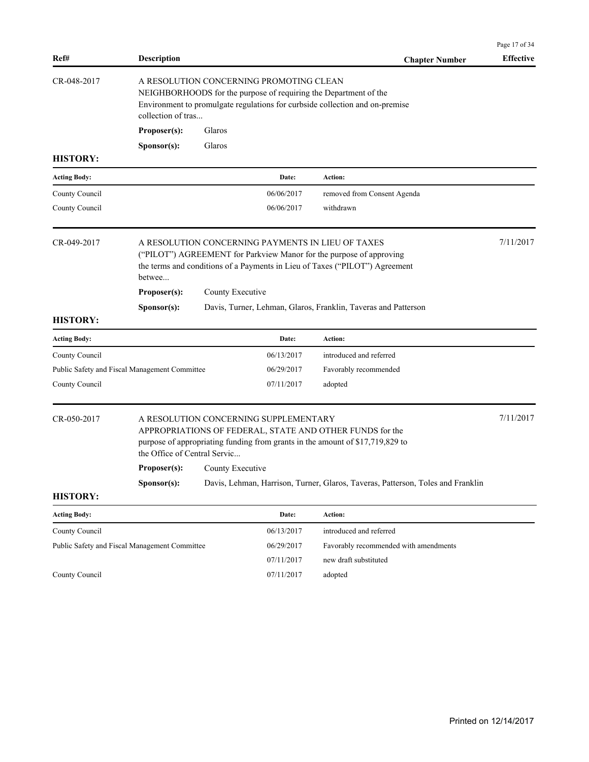| A RESOLUTION CONCERNING PROMOTING CLEAN<br>NEIGHBORHOODS for the purpose of requiring the Department of the<br>Environment to promulgate regulations for curbside collection and on-premise<br>collection of tras<br>Proposer(s):<br>Glaros<br>Glaros<br>Sponsor(s):<br><b>Action:</b><br><b>Acting Body:</b><br>Date:<br>06/06/2017<br>removed from Consent Agenda<br>withdrawn<br>06/06/2017<br>7/11/2017<br>A RESOLUTION CONCERNING PAYMENTS IN LIEU OF TAXES<br>("PILOT") AGREEMENT for Parkview Manor for the purpose of approving<br>the terms and conditions of a Payments in Lieu of Taxes ("PILOT") Agreement<br>betwee<br>Proposer(s):<br>County Executive<br>Davis, Turner, Lehman, Glaros, Franklin, Taveras and Patterson<br>Sponsor(s):<br><b>Acting Body:</b><br>Date:<br><b>Action:</b><br>County Council<br>06/13/2017<br>introduced and referred<br>Public Safety and Fiscal Management Committee<br>06/29/2017<br>Favorably recommended<br>07/11/2017<br>adopted<br>7/11/2017<br>A RESOLUTION CONCERNING SUPPLEMENTARY<br>APPROPRIATIONS OF FEDERAL, STATE AND OTHER FUNDS for the<br>purpose of appropriating funding from grants in the amount of \$17,719,829 to<br>the Office of Central Servic<br>County Executive<br>Proposer(s):<br>Davis, Lehman, Harrison, Turner, Glaros, Taveras, Patterson, Toles and Franklin<br>Sponsor(s):<br>Action:<br><b>Acting Body:</b><br>Date:<br>06/13/2017<br>introduced and referred<br>County Council<br>Public Safety and Fiscal Management Committee<br>06/29/2017<br>Favorably recommended with amendments<br>07/11/2017<br>new draft substituted<br>07/11/2017<br>adopted | Ref#            | <b>Description</b> |  | <b>Chapter Number</b> | <b>Effective</b> |
|--------------------------------------------------------------------------------------------------------------------------------------------------------------------------------------------------------------------------------------------------------------------------------------------------------------------------------------------------------------------------------------------------------------------------------------------------------------------------------------------------------------------------------------------------------------------------------------------------------------------------------------------------------------------------------------------------------------------------------------------------------------------------------------------------------------------------------------------------------------------------------------------------------------------------------------------------------------------------------------------------------------------------------------------------------------------------------------------------------------------------------------------------------------------------------------------------------------------------------------------------------------------------------------------------------------------------------------------------------------------------------------------------------------------------------------------------------------------------------------------------------------------------------------------------------------------------------------------------------------------------------------------|-----------------|--------------------|--|-----------------------|------------------|
|                                                                                                                                                                                                                                                                                                                                                                                                                                                                                                                                                                                                                                                                                                                                                                                                                                                                                                                                                                                                                                                                                                                                                                                                                                                                                                                                                                                                                                                                                                                                                                                                                                            | CR-048-2017     |                    |  |                       |                  |
|                                                                                                                                                                                                                                                                                                                                                                                                                                                                                                                                                                                                                                                                                                                                                                                                                                                                                                                                                                                                                                                                                                                                                                                                                                                                                                                                                                                                                                                                                                                                                                                                                                            |                 |                    |  |                       |                  |
|                                                                                                                                                                                                                                                                                                                                                                                                                                                                                                                                                                                                                                                                                                                                                                                                                                                                                                                                                                                                                                                                                                                                                                                                                                                                                                                                                                                                                                                                                                                                                                                                                                            |                 |                    |  |                       |                  |
|                                                                                                                                                                                                                                                                                                                                                                                                                                                                                                                                                                                                                                                                                                                                                                                                                                                                                                                                                                                                                                                                                                                                                                                                                                                                                                                                                                                                                                                                                                                                                                                                                                            | <b>HISTORY:</b> |                    |  |                       |                  |
|                                                                                                                                                                                                                                                                                                                                                                                                                                                                                                                                                                                                                                                                                                                                                                                                                                                                                                                                                                                                                                                                                                                                                                                                                                                                                                                                                                                                                                                                                                                                                                                                                                            |                 |                    |  |                       |                  |
|                                                                                                                                                                                                                                                                                                                                                                                                                                                                                                                                                                                                                                                                                                                                                                                                                                                                                                                                                                                                                                                                                                                                                                                                                                                                                                                                                                                                                                                                                                                                                                                                                                            | County Council  |                    |  |                       |                  |
|                                                                                                                                                                                                                                                                                                                                                                                                                                                                                                                                                                                                                                                                                                                                                                                                                                                                                                                                                                                                                                                                                                                                                                                                                                                                                                                                                                                                                                                                                                                                                                                                                                            | County Council  |                    |  |                       |                  |
|                                                                                                                                                                                                                                                                                                                                                                                                                                                                                                                                                                                                                                                                                                                                                                                                                                                                                                                                                                                                                                                                                                                                                                                                                                                                                                                                                                                                                                                                                                                                                                                                                                            | CR-049-2017     |                    |  |                       |                  |
|                                                                                                                                                                                                                                                                                                                                                                                                                                                                                                                                                                                                                                                                                                                                                                                                                                                                                                                                                                                                                                                                                                                                                                                                                                                                                                                                                                                                                                                                                                                                                                                                                                            |                 |                    |  |                       |                  |
|                                                                                                                                                                                                                                                                                                                                                                                                                                                                                                                                                                                                                                                                                                                                                                                                                                                                                                                                                                                                                                                                                                                                                                                                                                                                                                                                                                                                                                                                                                                                                                                                                                            |                 |                    |  |                       |                  |
|                                                                                                                                                                                                                                                                                                                                                                                                                                                                                                                                                                                                                                                                                                                                                                                                                                                                                                                                                                                                                                                                                                                                                                                                                                                                                                                                                                                                                                                                                                                                                                                                                                            | <b>HISTORY:</b> |                    |  |                       |                  |
|                                                                                                                                                                                                                                                                                                                                                                                                                                                                                                                                                                                                                                                                                                                                                                                                                                                                                                                                                                                                                                                                                                                                                                                                                                                                                                                                                                                                                                                                                                                                                                                                                                            |                 |                    |  |                       |                  |
|                                                                                                                                                                                                                                                                                                                                                                                                                                                                                                                                                                                                                                                                                                                                                                                                                                                                                                                                                                                                                                                                                                                                                                                                                                                                                                                                                                                                                                                                                                                                                                                                                                            |                 |                    |  |                       |                  |
|                                                                                                                                                                                                                                                                                                                                                                                                                                                                                                                                                                                                                                                                                                                                                                                                                                                                                                                                                                                                                                                                                                                                                                                                                                                                                                                                                                                                                                                                                                                                                                                                                                            |                 |                    |  |                       |                  |
|                                                                                                                                                                                                                                                                                                                                                                                                                                                                                                                                                                                                                                                                                                                                                                                                                                                                                                                                                                                                                                                                                                                                                                                                                                                                                                                                                                                                                                                                                                                                                                                                                                            | County Council  |                    |  |                       |                  |
|                                                                                                                                                                                                                                                                                                                                                                                                                                                                                                                                                                                                                                                                                                                                                                                                                                                                                                                                                                                                                                                                                                                                                                                                                                                                                                                                                                                                                                                                                                                                                                                                                                            | CR-050-2017     |                    |  |                       |                  |
|                                                                                                                                                                                                                                                                                                                                                                                                                                                                                                                                                                                                                                                                                                                                                                                                                                                                                                                                                                                                                                                                                                                                                                                                                                                                                                                                                                                                                                                                                                                                                                                                                                            |                 |                    |  |                       |                  |
|                                                                                                                                                                                                                                                                                                                                                                                                                                                                                                                                                                                                                                                                                                                                                                                                                                                                                                                                                                                                                                                                                                                                                                                                                                                                                                                                                                                                                                                                                                                                                                                                                                            | <b>HISTORY:</b> |                    |  |                       |                  |
|                                                                                                                                                                                                                                                                                                                                                                                                                                                                                                                                                                                                                                                                                                                                                                                                                                                                                                                                                                                                                                                                                                                                                                                                                                                                                                                                                                                                                                                                                                                                                                                                                                            |                 |                    |  |                       |                  |
|                                                                                                                                                                                                                                                                                                                                                                                                                                                                                                                                                                                                                                                                                                                                                                                                                                                                                                                                                                                                                                                                                                                                                                                                                                                                                                                                                                                                                                                                                                                                                                                                                                            |                 |                    |  |                       |                  |
|                                                                                                                                                                                                                                                                                                                                                                                                                                                                                                                                                                                                                                                                                                                                                                                                                                                                                                                                                                                                                                                                                                                                                                                                                                                                                                                                                                                                                                                                                                                                                                                                                                            |                 |                    |  |                       |                  |
|                                                                                                                                                                                                                                                                                                                                                                                                                                                                                                                                                                                                                                                                                                                                                                                                                                                                                                                                                                                                                                                                                                                                                                                                                                                                                                                                                                                                                                                                                                                                                                                                                                            |                 |                    |  |                       |                  |
|                                                                                                                                                                                                                                                                                                                                                                                                                                                                                                                                                                                                                                                                                                                                                                                                                                                                                                                                                                                                                                                                                                                                                                                                                                                                                                                                                                                                                                                                                                                                                                                                                                            | County Council  |                    |  |                       |                  |

Page 17 of 34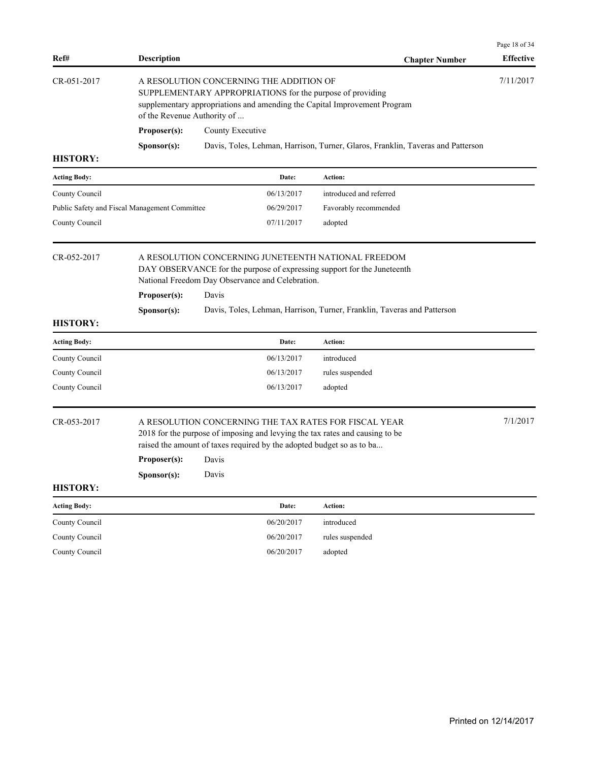| Ref#                                          | <b>Description</b>                                                                                                                                                                 |                                         |                                                                                                                                                                                                                | <b>Chapter Number</b>                                                                                                                  | Page 18 of 34<br><b>Effective</b> |  |
|-----------------------------------------------|------------------------------------------------------------------------------------------------------------------------------------------------------------------------------------|-----------------------------------------|----------------------------------------------------------------------------------------------------------------------------------------------------------------------------------------------------------------|----------------------------------------------------------------------------------------------------------------------------------------|-----------------------------------|--|
| CR-051-2017                                   | of the Revenue Authority of                                                                                                                                                        | A RESOLUTION CONCERNING THE ADDITION OF |                                                                                                                                                                                                                | SUPPLEMENTARY APPROPRIATIONS for the purpose of providing<br>supplementary appropriations and amending the Capital Improvement Program | 7/11/2017                         |  |
|                                               | Proposer(s):                                                                                                                                                                       | County Executive                        |                                                                                                                                                                                                                |                                                                                                                                        |                                   |  |
|                                               | Sponsor(s):                                                                                                                                                                        |                                         |                                                                                                                                                                                                                | Davis, Toles, Lehman, Harrison, Turner, Glaros, Franklin, Taveras and Patterson                                                        |                                   |  |
| <b>HISTORY:</b>                               |                                                                                                                                                                                    |                                         |                                                                                                                                                                                                                |                                                                                                                                        |                                   |  |
| <b>Acting Body:</b>                           |                                                                                                                                                                                    |                                         | Date:                                                                                                                                                                                                          | <b>Action:</b>                                                                                                                         |                                   |  |
| County Council                                |                                                                                                                                                                                    |                                         | 06/13/2017                                                                                                                                                                                                     | introduced and referred                                                                                                                |                                   |  |
| Public Safety and Fiscal Management Committee |                                                                                                                                                                                    |                                         | 06/29/2017                                                                                                                                                                                                     | Favorably recommended                                                                                                                  |                                   |  |
| County Council                                |                                                                                                                                                                                    |                                         | 07/11/2017                                                                                                                                                                                                     | adopted                                                                                                                                |                                   |  |
| CR-052-2017                                   | A RESOLUTION CONCERNING JUNETEENTH NATIONAL FREEDOM<br>DAY OBSERVANCE for the purpose of expressing support for the Juneteenth<br>National Freedom Day Observance and Celebration. |                                         |                                                                                                                                                                                                                |                                                                                                                                        |                                   |  |
|                                               | Proposer(s):                                                                                                                                                                       | Davis                                   |                                                                                                                                                                                                                |                                                                                                                                        |                                   |  |
| <b>HISTORY:</b>                               | Sponsor(s):                                                                                                                                                                        |                                         |                                                                                                                                                                                                                | Davis, Toles, Lehman, Harrison, Turner, Franklin, Taveras and Patterson                                                                |                                   |  |
| <b>Acting Body:</b>                           |                                                                                                                                                                                    |                                         | Date:                                                                                                                                                                                                          | <b>Action:</b>                                                                                                                         |                                   |  |
| County Council                                |                                                                                                                                                                                    |                                         | 06/13/2017                                                                                                                                                                                                     | introduced                                                                                                                             |                                   |  |
| County Council                                |                                                                                                                                                                                    |                                         | 06/13/2017                                                                                                                                                                                                     | rules suspended                                                                                                                        |                                   |  |
| County Council                                |                                                                                                                                                                                    |                                         | 06/13/2017                                                                                                                                                                                                     | adopted                                                                                                                                |                                   |  |
| CR-053-2017                                   | Proposer(s):                                                                                                                                                                       | Davis                                   | A RESOLUTION CONCERNING THE TAX RATES FOR FISCAL YEAR<br>2018 for the purpose of imposing and levying the tax rates and causing to be<br>raised the amount of taxes required by the adopted budget so as to ba |                                                                                                                                        |                                   |  |
| <b>HISTORY:</b>                               | Sponsor(s):                                                                                                                                                                        | Davis                                   |                                                                                                                                                                                                                |                                                                                                                                        |                                   |  |
|                                               |                                                                                                                                                                                    |                                         |                                                                                                                                                                                                                |                                                                                                                                        |                                   |  |
| <b>Acting Body:</b>                           |                                                                                                                                                                                    |                                         | Date:                                                                                                                                                                                                          | Action:                                                                                                                                |                                   |  |
| County Council                                |                                                                                                                                                                                    |                                         | 06/20/2017                                                                                                                                                                                                     | introduced                                                                                                                             |                                   |  |
| County Council                                |                                                                                                                                                                                    |                                         | 06/20/2017                                                                                                                                                                                                     | rules suspended                                                                                                                        |                                   |  |
| County Council                                |                                                                                                                                                                                    |                                         | 06/20/2017                                                                                                                                                                                                     | adopted                                                                                                                                |                                   |  |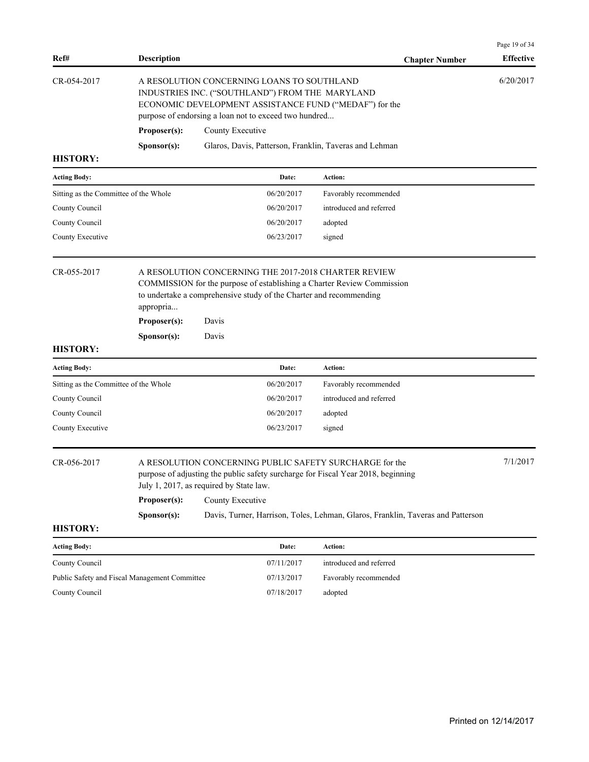| Ref#                                          | <b>Description</b>                                                                                                                                                                     |                                                                                                                                                                                                                        | <b>Chapter Number</b>                                                           | Page 19 of 34<br><b>Effective</b> |  |
|-----------------------------------------------|----------------------------------------------------------------------------------------------------------------------------------------------------------------------------------------|------------------------------------------------------------------------------------------------------------------------------------------------------------------------------------------------------------------------|---------------------------------------------------------------------------------|-----------------------------------|--|
| CR-054-2017                                   |                                                                                                                                                                                        | A RESOLUTION CONCERNING LOANS TO SOUTHLAND<br>INDUSTRIES INC. ("SOUTHLAND") FROM THE MARYLAND<br>ECONOMIC DEVELOPMENT ASSISTANCE FUND ("MEDAF") for the<br>purpose of endorsing a loan not to exceed two hundred       |                                                                                 | 6/20/2017                         |  |
|                                               | Proposer(s):                                                                                                                                                                           | County Executive                                                                                                                                                                                                       |                                                                                 |                                   |  |
| <b>HISTORY:</b>                               | Sponsor(s):                                                                                                                                                                            | Glaros, Davis, Patterson, Franklin, Taveras and Lehman                                                                                                                                                                 |                                                                                 |                                   |  |
| <b>Acting Body:</b>                           |                                                                                                                                                                                        | Date:                                                                                                                                                                                                                  | Action:                                                                         |                                   |  |
| Sitting as the Committee of the Whole         |                                                                                                                                                                                        | 06/20/2017                                                                                                                                                                                                             | Favorably recommended                                                           |                                   |  |
| County Council                                |                                                                                                                                                                                        | 06/20/2017                                                                                                                                                                                                             | introduced and referred                                                         |                                   |  |
| County Council                                |                                                                                                                                                                                        | 06/20/2017                                                                                                                                                                                                             | adopted                                                                         |                                   |  |
| County Executive                              |                                                                                                                                                                                        | 06/23/2017                                                                                                                                                                                                             | signed                                                                          |                                   |  |
| CR-055-2017<br><b>HISTORY:</b>                | appropria<br>Proposer(s):<br>Sponsor(s):                                                                                                                                               | A RESOLUTION CONCERNING THE 2017-2018 CHARTER REVIEW<br>COMMISSION for the purpose of establishing a Charter Review Commission<br>to undertake a comprehensive study of the Charter and recommending<br>Davis<br>Davis |                                                                                 |                                   |  |
| <b>Acting Body:</b>                           |                                                                                                                                                                                        | Date:                                                                                                                                                                                                                  | <b>Action:</b>                                                                  |                                   |  |
| Sitting as the Committee of the Whole         |                                                                                                                                                                                        | 06/20/2017                                                                                                                                                                                                             | Favorably recommended                                                           |                                   |  |
| County Council                                |                                                                                                                                                                                        | 06/20/2017                                                                                                                                                                                                             | introduced and referred                                                         |                                   |  |
| County Council                                |                                                                                                                                                                                        | 06/20/2017                                                                                                                                                                                                             | adopted                                                                         |                                   |  |
| County Executive                              |                                                                                                                                                                                        | 06/23/2017                                                                                                                                                                                                             | signed                                                                          |                                   |  |
| CR-056-2017                                   | A RESOLUTION CONCERNING PUBLIC SAFETY SURCHARGE for the<br>purpose of adjusting the public safety surcharge for Fiscal Year 2018, beginning<br>July 1, 2017, as required by State law. |                                                                                                                                                                                                                        |                                                                                 |                                   |  |
|                                               | Proposer(s):                                                                                                                                                                           | County Executive                                                                                                                                                                                                       |                                                                                 |                                   |  |
| <b>HISTORY:</b>                               | Sponsor(s):                                                                                                                                                                            |                                                                                                                                                                                                                        | Davis, Turner, Harrison, Toles, Lehman, Glaros, Franklin, Taveras and Patterson |                                   |  |
| <b>Acting Body:</b>                           |                                                                                                                                                                                        | Date:                                                                                                                                                                                                                  | Action:                                                                         |                                   |  |
| County Council                                |                                                                                                                                                                                        | 07/11/2017                                                                                                                                                                                                             | introduced and referred                                                         |                                   |  |
| Public Safety and Fiscal Management Committee |                                                                                                                                                                                        | 07/13/2017                                                                                                                                                                                                             | Favorably recommended                                                           |                                   |  |
|                                               |                                                                                                                                                                                        |                                                                                                                                                                                                                        |                                                                                 |                                   |  |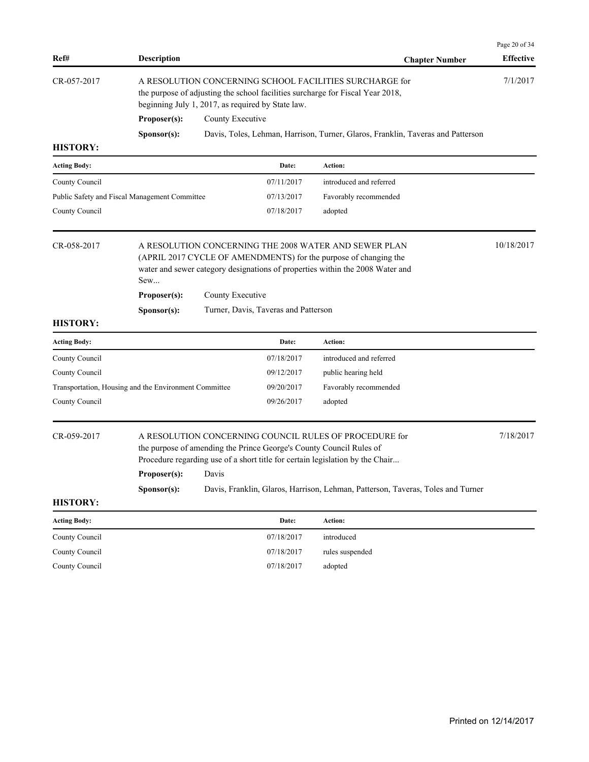| Ref#                                                  | <b>Description</b>                                                                                                                                                                                                                                                                                                                        |                  |                                                   | <b>Chapter Number</b>                                                                                                                     | Page 20 of 34<br><b>Effective</b> |
|-------------------------------------------------------|-------------------------------------------------------------------------------------------------------------------------------------------------------------------------------------------------------------------------------------------------------------------------------------------------------------------------------------------|------------------|---------------------------------------------------|-------------------------------------------------------------------------------------------------------------------------------------------|-----------------------------------|
| CR-057-2017                                           |                                                                                                                                                                                                                                                                                                                                           |                  | beginning July 1, 2017, as required by State law. | A RESOLUTION CONCERNING SCHOOL FACILITIES SURCHARGE for<br>the purpose of adjusting the school facilities surcharge for Fiscal Year 2018, | 7/1/2017                          |
|                                                       | Proposer(s):                                                                                                                                                                                                                                                                                                                              | County Executive |                                                   |                                                                                                                                           |                                   |
|                                                       | Sponsor(s):                                                                                                                                                                                                                                                                                                                               |                  |                                                   | Davis, Toles, Lehman, Harrison, Turner, Glaros, Franklin, Taveras and Patterson                                                           |                                   |
| <b>HISTORY:</b>                                       |                                                                                                                                                                                                                                                                                                                                           |                  |                                                   |                                                                                                                                           |                                   |
| <b>Acting Body:</b>                                   |                                                                                                                                                                                                                                                                                                                                           |                  | Date:                                             | Action:                                                                                                                                   |                                   |
| County Council                                        |                                                                                                                                                                                                                                                                                                                                           |                  | 07/11/2017                                        | introduced and referred                                                                                                                   |                                   |
| Public Safety and Fiscal Management Committee         |                                                                                                                                                                                                                                                                                                                                           |                  | 07/13/2017                                        | Favorably recommended                                                                                                                     |                                   |
| County Council                                        |                                                                                                                                                                                                                                                                                                                                           |                  | 07/18/2017                                        | adopted                                                                                                                                   |                                   |
| CR-058-2017                                           | A RESOLUTION CONCERNING THE 2008 WATER AND SEWER PLAN<br>(APRIL 2017 CYCLE OF AMENDMENTS) for the purpose of changing the<br>water and sewer category designations of properties within the 2008 Water and<br>Sew                                                                                                                         |                  |                                                   |                                                                                                                                           |                                   |
|                                                       | Proposer(s):                                                                                                                                                                                                                                                                                                                              | County Executive |                                                   |                                                                                                                                           |                                   |
|                                                       | Sponsor(s):                                                                                                                                                                                                                                                                                                                               |                  | Turner, Davis, Taveras and Patterson              |                                                                                                                                           |                                   |
| <b>HISTORY:</b>                                       |                                                                                                                                                                                                                                                                                                                                           |                  |                                                   |                                                                                                                                           |                                   |
| <b>Acting Body:</b>                                   |                                                                                                                                                                                                                                                                                                                                           |                  | Date:                                             | Action:                                                                                                                                   |                                   |
| County Council                                        |                                                                                                                                                                                                                                                                                                                                           |                  | 07/18/2017                                        | introduced and referred                                                                                                                   |                                   |
| County Council                                        |                                                                                                                                                                                                                                                                                                                                           |                  | 09/12/2017                                        | public hearing held                                                                                                                       |                                   |
| Transportation, Housing and the Environment Committee |                                                                                                                                                                                                                                                                                                                                           |                  | 09/20/2017                                        | Favorably recommended                                                                                                                     |                                   |
| County Council                                        |                                                                                                                                                                                                                                                                                                                                           |                  | 09/26/2017                                        | adopted                                                                                                                                   |                                   |
| CR-059-2017                                           | A RESOLUTION CONCERNING COUNCIL RULES OF PROCEDURE for<br>the purpose of amending the Prince George's County Council Rules of<br>Procedure regarding use of a short title for certain legislation by the Chair<br>Proposer(s):<br>Davis<br>Davis, Franklin, Glaros, Harrison, Lehman, Patterson, Taveras, Toles and Turner<br>Sponsor(s): |                  |                                                   |                                                                                                                                           | 7/18/2017                         |
| <b>HISTORY:</b>                                       |                                                                                                                                                                                                                                                                                                                                           |                  |                                                   |                                                                                                                                           |                                   |
| <b>Acting Body:</b>                                   |                                                                                                                                                                                                                                                                                                                                           |                  | Date:                                             | Action:                                                                                                                                   |                                   |
| County Council                                        |                                                                                                                                                                                                                                                                                                                                           |                  | 07/18/2017                                        | introduced                                                                                                                                |                                   |
| County Council                                        |                                                                                                                                                                                                                                                                                                                                           |                  | 07/18/2017                                        | rules suspended                                                                                                                           |                                   |
| County Council                                        |                                                                                                                                                                                                                                                                                                                                           |                  | 07/18/2017                                        | adopted                                                                                                                                   |                                   |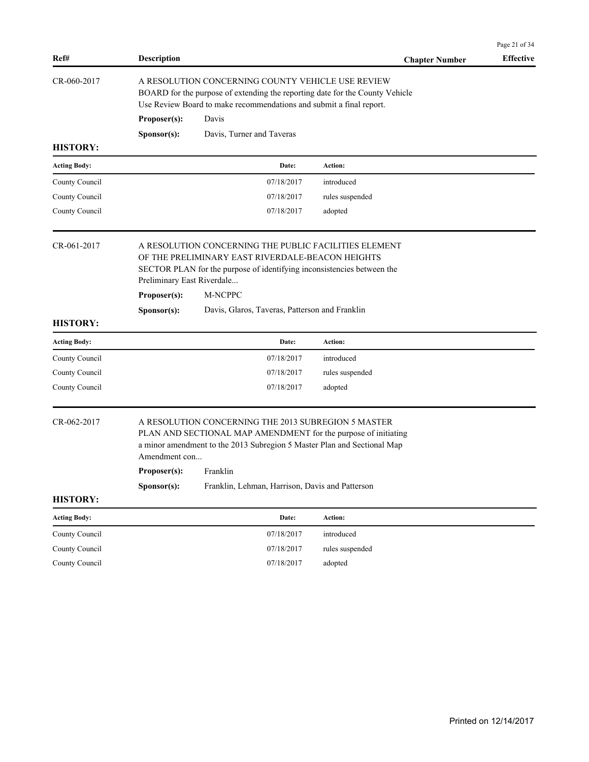|                     |                             |                                                                                                                                                                                                                                                                                |                       | Page 21 of 34    |  |  |  |  |
|---------------------|-----------------------------|--------------------------------------------------------------------------------------------------------------------------------------------------------------------------------------------------------------------------------------------------------------------------------|-----------------------|------------------|--|--|--|--|
| Ref#                | <b>Description</b>          |                                                                                                                                                                                                                                                                                | <b>Chapter Number</b> | <b>Effective</b> |  |  |  |  |
| CR-060-2017         |                             | A RESOLUTION CONCERNING COUNTY VEHICLE USE REVIEW<br>BOARD for the purpose of extending the reporting date for the County Vehicle<br>Use Review Board to make recommendations and submit a final report.                                                                       |                       |                  |  |  |  |  |
|                     | Proposer(s):                | Davis                                                                                                                                                                                                                                                                          |                       |                  |  |  |  |  |
|                     | Sponsor(s):                 | Davis, Turner and Taveras                                                                                                                                                                                                                                                      |                       |                  |  |  |  |  |
| <b>HISTORY:</b>     |                             |                                                                                                                                                                                                                                                                                |                       |                  |  |  |  |  |
| <b>Acting Body:</b> |                             | Date:                                                                                                                                                                                                                                                                          | Action:               |                  |  |  |  |  |
| County Council      |                             | 07/18/2017                                                                                                                                                                                                                                                                     | introduced            |                  |  |  |  |  |
| County Council      |                             | 07/18/2017                                                                                                                                                                                                                                                                     | rules suspended       |                  |  |  |  |  |
| County Council      |                             | 07/18/2017                                                                                                                                                                                                                                                                     | adopted               |                  |  |  |  |  |
| CR-061-2017         | Proposer(s):<br>Sponsor(s): | A RESOLUTION CONCERNING THE PUBLIC FACILITIES ELEMENT<br>OF THE PRELIMINARY EAST RIVERDALE-BEACON HEIGHTS<br>SECTOR PLAN for the purpose of identifying inconsistencies between the<br>Preliminary East Riverdale<br>M-NCPPC<br>Davis, Glaros, Taveras, Patterson and Franklin |                       |                  |  |  |  |  |
| <b>HISTORY:</b>     |                             |                                                                                                                                                                                                                                                                                |                       |                  |  |  |  |  |
| <b>Acting Body:</b> |                             | Date:                                                                                                                                                                                                                                                                          | <b>Action:</b>        |                  |  |  |  |  |
| County Council      |                             | 07/18/2017                                                                                                                                                                                                                                                                     | introduced            |                  |  |  |  |  |
| County Council      |                             | 07/18/2017                                                                                                                                                                                                                                                                     | rules suspended       |                  |  |  |  |  |
| County Council      |                             | 07/18/2017                                                                                                                                                                                                                                                                     | adopted               |                  |  |  |  |  |
| CR-062-2017         | Sponsor(s):                 | A RESOLUTION CONCERNING THE 2013 SUBREGION 5 MASTER<br>PLAN AND SECTIONAL MAP AMENDMENT for the purpose of initiating<br>a minor amendment to the 2013 Subregion 5 Master Plan and Sectional Map<br>Amendment con<br>Proposer(s): Franklin                                     |                       |                  |  |  |  |  |
| <b>HISTORY:</b>     |                             | Franklin, Lehman, Harrison, Davis and Patterson                                                                                                                                                                                                                                |                       |                  |  |  |  |  |
|                     |                             |                                                                                                                                                                                                                                                                                |                       |                  |  |  |  |  |
| <b>Acting Body:</b> |                             | Date:                                                                                                                                                                                                                                                                          | Action:               |                  |  |  |  |  |
| County Council      |                             | 07/18/2017                                                                                                                                                                                                                                                                     | introduced            |                  |  |  |  |  |
| County Council      |                             | 07/18/2017                                                                                                                                                                                                                                                                     | rules suspended       |                  |  |  |  |  |
| County Council      |                             | 07/18/2017                                                                                                                                                                                                                                                                     | adopted               |                  |  |  |  |  |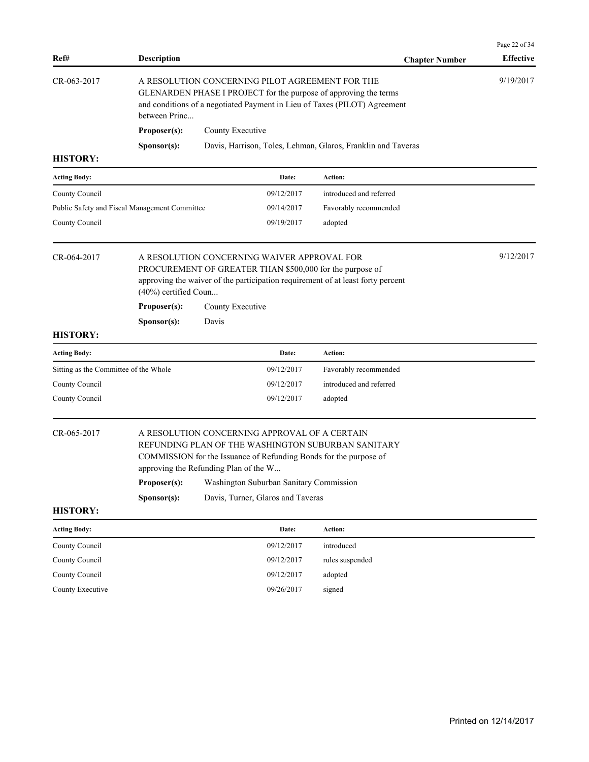| Ref#                                          | <b>Description</b>                                                                                                                                                                                                |                                                                                                                                                                                                  |            | <b>Chapter Number</b>                                        | <b>Effective</b> |  |
|-----------------------------------------------|-------------------------------------------------------------------------------------------------------------------------------------------------------------------------------------------------------------------|--------------------------------------------------------------------------------------------------------------------------------------------------------------------------------------------------|------------|--------------------------------------------------------------|------------------|--|
| CR-063-2017                                   | between Princ                                                                                                                                                                                                     | A RESOLUTION CONCERNING PILOT AGREEMENT FOR THE<br>GLENARDEN PHASE I PROJECT for the purpose of approving the terms<br>and conditions of a negotiated Payment in Lieu of Taxes (PILOT) Agreement |            |                                                              |                  |  |
|                                               | Proposer(s):                                                                                                                                                                                                      | County Executive                                                                                                                                                                                 |            |                                                              |                  |  |
|                                               | S <b>p</b> onsor(s):                                                                                                                                                                                              |                                                                                                                                                                                                  |            | Davis, Harrison, Toles, Lehman, Glaros, Franklin and Taveras |                  |  |
| <b>HISTORY:</b>                               |                                                                                                                                                                                                                   |                                                                                                                                                                                                  |            |                                                              |                  |  |
| <b>Acting Body:</b>                           |                                                                                                                                                                                                                   |                                                                                                                                                                                                  | Date:      | Action:                                                      |                  |  |
| County Council                                |                                                                                                                                                                                                                   |                                                                                                                                                                                                  | 09/12/2017 | introduced and referred                                      |                  |  |
| Public Safety and Fiscal Management Committee |                                                                                                                                                                                                                   |                                                                                                                                                                                                  | 09/14/2017 | Favorably recommended                                        |                  |  |
| County Council                                |                                                                                                                                                                                                                   |                                                                                                                                                                                                  | 09/19/2017 | adopted                                                      |                  |  |
| CR-064-2017                                   | (40%) certified Coun                                                                                                                                                                                              | A RESOLUTION CONCERNING WAIVER APPROVAL FOR<br>PROCUREMENT OF GREATER THAN \$500,000 for the purpose of<br>approving the waiver of the participation requirement of at least forty percent       |            |                                                              |                  |  |
|                                               | Proposer(s):                                                                                                                                                                                                      | County Executive                                                                                                                                                                                 |            |                                                              |                  |  |
|                                               | Sponsor(s):                                                                                                                                                                                                       | Davis                                                                                                                                                                                            |            |                                                              |                  |  |
| <b>HISTORY:</b>                               |                                                                                                                                                                                                                   |                                                                                                                                                                                                  |            |                                                              |                  |  |
| <b>Acting Body:</b>                           |                                                                                                                                                                                                                   |                                                                                                                                                                                                  | Date:      | Action:                                                      |                  |  |
| Sitting as the Committee of the Whole         |                                                                                                                                                                                                                   |                                                                                                                                                                                                  | 09/12/2017 | Favorably recommended                                        |                  |  |
| County Council                                |                                                                                                                                                                                                                   |                                                                                                                                                                                                  | 09/12/2017 | introduced and referred                                      |                  |  |
| County Council                                |                                                                                                                                                                                                                   |                                                                                                                                                                                                  | 09/12/2017 | adopted                                                      |                  |  |
| CR-065-2017                                   | A RESOLUTION CONCERNING APPROVAL OF A CERTAIN<br>REFUNDING PLAN OF THE WASHINGTON SUBURBAN SANITARY<br>COMMISSION for the Issuance of Refunding Bonds for the purpose of<br>approving the Refunding Plan of the W |                                                                                                                                                                                                  |            |                                                              |                  |  |
|                                               |                                                                                                                                                                                                                   | Proposer(s): Washington Suburban Sanitary Commission                                                                                                                                             |            |                                                              |                  |  |
| <b>HISTORY:</b>                               | Sponsor(s):                                                                                                                                                                                                       | Davis, Turner, Glaros and Taveras                                                                                                                                                                |            |                                                              |                  |  |
| <b>Acting Body:</b>                           |                                                                                                                                                                                                                   |                                                                                                                                                                                                  | Date:      | Action:                                                      |                  |  |
| County Council                                |                                                                                                                                                                                                                   |                                                                                                                                                                                                  | 09/12/2017 | introduced                                                   |                  |  |
| County Council                                |                                                                                                                                                                                                                   |                                                                                                                                                                                                  | 09/12/2017 | rules suspended                                              |                  |  |
|                                               |                                                                                                                                                                                                                   |                                                                                                                                                                                                  | 09/12/2017 | adopted                                                      |                  |  |
| County Council                                |                                                                                                                                                                                                                   |                                                                                                                                                                                                  |            |                                                              |                  |  |

Page 22 of 34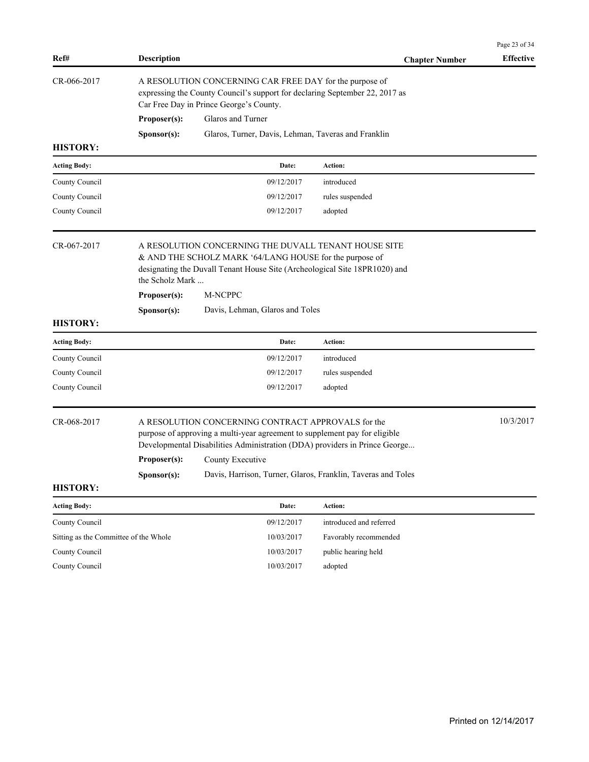|                                       |                             |                                                                                                                                                                                                                                                                                                    |                         | Page 23 of 34    |  |  |  |
|---------------------------------------|-----------------------------|----------------------------------------------------------------------------------------------------------------------------------------------------------------------------------------------------------------------------------------------------------------------------------------------------|-------------------------|------------------|--|--|--|
| Ref#                                  | <b>Description</b>          |                                                                                                                                                                                                                                                                                                    | <b>Chapter Number</b>   | <b>Effective</b> |  |  |  |
| CR-066-2017                           |                             | A RESOLUTION CONCERNING CAR FREE DAY for the purpose of<br>expressing the County Council's support for declaring September 22, 2017 as<br>Car Free Day in Prince George's County.                                                                                                                  |                         |                  |  |  |  |
|                                       | Proposer(s):                | Glaros and Turner                                                                                                                                                                                                                                                                                  |                         |                  |  |  |  |
|                                       | Sponsor(s):                 | Glaros, Turner, Davis, Lehman, Taveras and Franklin                                                                                                                                                                                                                                                |                         |                  |  |  |  |
| <b>HISTORY:</b>                       |                             |                                                                                                                                                                                                                                                                                                    |                         |                  |  |  |  |
| <b>Acting Body:</b>                   |                             | Date:                                                                                                                                                                                                                                                                                              | <b>Action:</b>          |                  |  |  |  |
| County Council                        |                             | 09/12/2017                                                                                                                                                                                                                                                                                         | introduced              |                  |  |  |  |
| County Council                        |                             | 09/12/2017                                                                                                                                                                                                                                                                                         | rules suspended         |                  |  |  |  |
| County Council                        |                             | 09/12/2017                                                                                                                                                                                                                                                                                         | adopted                 |                  |  |  |  |
| CR-067-2017                           | Proposer(s):                | A RESOLUTION CONCERNING THE DUVALL TENANT HOUSE SITE<br>& AND THE SCHOLZ MARK '64/LANG HOUSE for the purpose of<br>designating the Duvall Tenant House Site (Archeological Site 18PR1020) and<br>the Scholz Mark<br>M-NCPPC                                                                        |                         |                  |  |  |  |
|                                       | Sponsor(s):                 | Davis, Lehman, Glaros and Toles                                                                                                                                                                                                                                                                    |                         |                  |  |  |  |
| <b>HISTORY:</b>                       |                             |                                                                                                                                                                                                                                                                                                    |                         |                  |  |  |  |
| <b>Acting Body:</b>                   |                             | Date:                                                                                                                                                                                                                                                                                              | <b>Action:</b>          |                  |  |  |  |
| County Council                        |                             | 09/12/2017                                                                                                                                                                                                                                                                                         | introduced              |                  |  |  |  |
| County Council                        |                             | 09/12/2017                                                                                                                                                                                                                                                                                         | rules suspended         |                  |  |  |  |
| County Council                        |                             | 09/12/2017                                                                                                                                                                                                                                                                                         | adopted                 |                  |  |  |  |
| CR-068-2017<br><b>HISTORY:</b>        | Proposer(s):<br>Sponsor(s): | A RESOLUTION CONCERNING CONTRACT APPROVALS for the<br>purpose of approving a multi-year agreement to supplement pay for eligible<br>Developmental Disabilities Administration (DDA) providers in Prince George<br>County Executive<br>Davis, Harrison, Turner, Glaros, Franklin, Taveras and Toles |                         | 10/3/2017        |  |  |  |
| <b>Acting Body:</b>                   |                             | Date:                                                                                                                                                                                                                                                                                              | Action:                 |                  |  |  |  |
| County Council                        |                             | 09/12/2017                                                                                                                                                                                                                                                                                         | introduced and referred |                  |  |  |  |
| Sitting as the Committee of the Whole |                             | 10/03/2017                                                                                                                                                                                                                                                                                         | Favorably recommended   |                  |  |  |  |
| County Council                        |                             | 10/03/2017                                                                                                                                                                                                                                                                                         | public hearing held     |                  |  |  |  |
| County Council                        |                             | $10/03/2017\,$                                                                                                                                                                                                                                                                                     | adopted                 |                  |  |  |  |
|                                       |                             |                                                                                                                                                                                                                                                                                                    |                         |                  |  |  |  |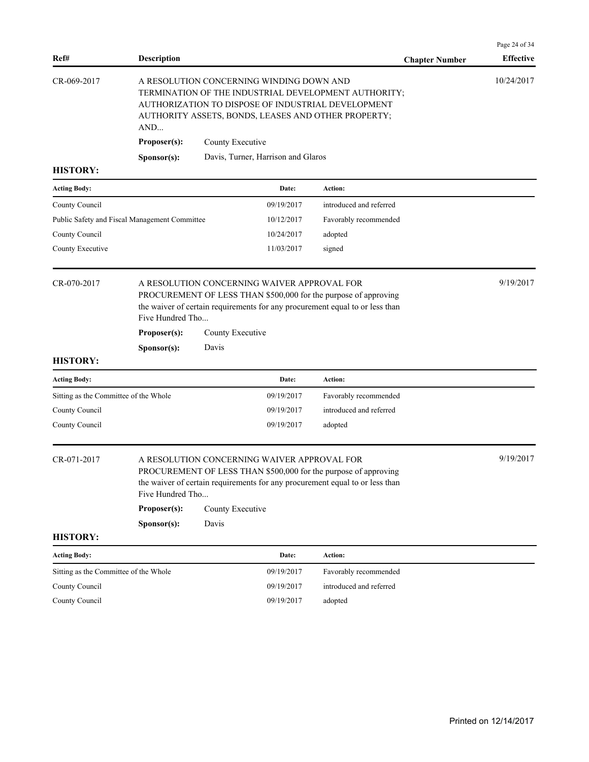| Ref#                                          | <b>Description</b>                              |                                                                                                                                                                                                                    |                                                                                                                                                                                                                    | <b>Chapter Number</b>                                                                                                                                             | Page 24 of 34<br><b>Effective</b> |  |  |
|-----------------------------------------------|-------------------------------------------------|--------------------------------------------------------------------------------------------------------------------------------------------------------------------------------------------------------------------|--------------------------------------------------------------------------------------------------------------------------------------------------------------------------------------------------------------------|-------------------------------------------------------------------------------------------------------------------------------------------------------------------|-----------------------------------|--|--|
| CR-069-2017                                   | AND<br>Proposer(s):                             | County Executive                                                                                                                                                                                                   | A RESOLUTION CONCERNING WINDING DOWN AND                                                                                                                                                                           | TERMINATION OF THE INDUSTRIAL DEVELOPMENT AUTHORITY;<br>AUTHORIZATION TO DISPOSE OF INDUSTRIAL DEVELOPMENT<br>AUTHORITY ASSETS, BONDS, LEASES AND OTHER PROPERTY; | 10/24/2017                        |  |  |
|                                               | Sponsor(s):                                     |                                                                                                                                                                                                                    | Davis, Turner, Harrison and Glaros                                                                                                                                                                                 |                                                                                                                                                                   |                                   |  |  |
| <b>HISTORY:</b>                               |                                                 |                                                                                                                                                                                                                    |                                                                                                                                                                                                                    |                                                                                                                                                                   |                                   |  |  |
| <b>Acting Body:</b>                           |                                                 |                                                                                                                                                                                                                    | Date:                                                                                                                                                                                                              | Action:                                                                                                                                                           |                                   |  |  |
| County Council                                |                                                 |                                                                                                                                                                                                                    | 09/19/2017                                                                                                                                                                                                         | introduced and referred                                                                                                                                           |                                   |  |  |
| Public Safety and Fiscal Management Committee |                                                 |                                                                                                                                                                                                                    | 10/12/2017                                                                                                                                                                                                         | Favorably recommended                                                                                                                                             |                                   |  |  |
| County Council                                |                                                 |                                                                                                                                                                                                                    | 10/24/2017                                                                                                                                                                                                         | adopted                                                                                                                                                           |                                   |  |  |
| County Executive                              |                                                 |                                                                                                                                                                                                                    | 11/03/2017                                                                                                                                                                                                         | signed                                                                                                                                                            |                                   |  |  |
| CR-070-2017                                   | Five Hundred Tho<br>Proposer(s):<br>Sponsor(s): | Davis                                                                                                                                                                                                              | A RESOLUTION CONCERNING WAIVER APPROVAL FOR<br>PROCUREMENT OF LESS THAN \$500,000 for the purpose of approving<br>the waiver of certain requirements for any procurement equal to or less than<br>County Executive |                                                                                                                                                                   |                                   |  |  |
| <b>HISTORY:</b>                               |                                                 |                                                                                                                                                                                                                    |                                                                                                                                                                                                                    |                                                                                                                                                                   |                                   |  |  |
| <b>Acting Body:</b>                           |                                                 |                                                                                                                                                                                                                    | Date:                                                                                                                                                                                                              | <b>Action:</b>                                                                                                                                                    |                                   |  |  |
| Sitting as the Committee of the Whole         |                                                 |                                                                                                                                                                                                                    | 09/19/2017                                                                                                                                                                                                         | Favorably recommended                                                                                                                                             |                                   |  |  |
| County Council                                |                                                 |                                                                                                                                                                                                                    | 09/19/2017                                                                                                                                                                                                         | introduced and referred                                                                                                                                           |                                   |  |  |
| County Council                                |                                                 |                                                                                                                                                                                                                    | 09/19/2017                                                                                                                                                                                                         | adopted                                                                                                                                                           |                                   |  |  |
| CR-071-2017                                   | Five Hundred Tho<br>Proposer(s):                | A RESOLUTION CONCERNING WAIVER APPROVAL FOR<br>PROCUREMENT OF LESS THAN \$500,000 for the purpose of approving<br>the waiver of certain requirements for any procurement equal to or less than<br>County Executive |                                                                                                                                                                                                                    |                                                                                                                                                                   |                                   |  |  |
|                                               | Sponsor(s):                                     | Davis                                                                                                                                                                                                              |                                                                                                                                                                                                                    |                                                                                                                                                                   |                                   |  |  |
| <b>HISTORY:</b>                               |                                                 |                                                                                                                                                                                                                    |                                                                                                                                                                                                                    |                                                                                                                                                                   |                                   |  |  |
| <b>Acting Body:</b>                           |                                                 |                                                                                                                                                                                                                    | Date:                                                                                                                                                                                                              | Action:                                                                                                                                                           |                                   |  |  |
| Sitting as the Committee of the Whole         |                                                 |                                                                                                                                                                                                                    | 09/19/2017                                                                                                                                                                                                         | Favorably recommended                                                                                                                                             |                                   |  |  |
| County Council                                |                                                 |                                                                                                                                                                                                                    | 09/19/2017                                                                                                                                                                                                         | introduced and referred                                                                                                                                           |                                   |  |  |
| County Council                                |                                                 |                                                                                                                                                                                                                    | 09/19/2017                                                                                                                                                                                                         | adopted                                                                                                                                                           |                                   |  |  |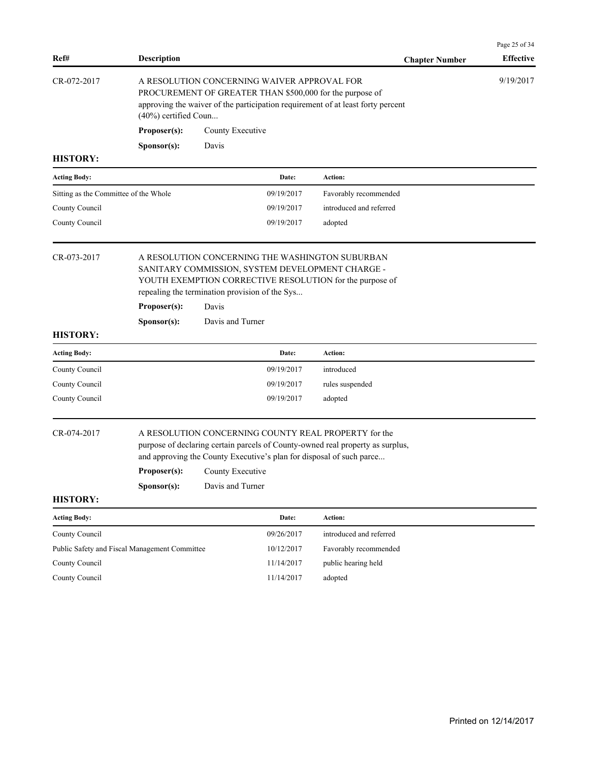| Ref#                                  | <b>Description</b>                            |                                                                                                                                                                                                                                                        | <b>Chapter Number</b>   | Page 25 of 34<br><b>Effective</b> |  |  |  |
|---------------------------------------|-----------------------------------------------|--------------------------------------------------------------------------------------------------------------------------------------------------------------------------------------------------------------------------------------------------------|-------------------------|-----------------------------------|--|--|--|
| CR-072-2017                           | (40%) certified Coun                          | A RESOLUTION CONCERNING WAIVER APPROVAL FOR<br>PROCUREMENT OF GREATER THAN \$500,000 for the purpose of<br>approving the waiver of the participation requirement of at least forty percent                                                             |                         | 9/19/2017                         |  |  |  |
|                                       | Proposer(s):                                  | County Executive                                                                                                                                                                                                                                       |                         |                                   |  |  |  |
|                                       | Sponsor(s):                                   | Davis                                                                                                                                                                                                                                                  |                         |                                   |  |  |  |
| <b>HISTORY:</b>                       |                                               |                                                                                                                                                                                                                                                        |                         |                                   |  |  |  |
| <b>Acting Body:</b>                   |                                               | Date:                                                                                                                                                                                                                                                  | Action:                 |                                   |  |  |  |
| Sitting as the Committee of the Whole |                                               | 09/19/2017                                                                                                                                                                                                                                             | Favorably recommended   |                                   |  |  |  |
| County Council                        |                                               | 09/19/2017                                                                                                                                                                                                                                             | introduced and referred |                                   |  |  |  |
| County Council                        |                                               | 09/19/2017                                                                                                                                                                                                                                             | adopted                 |                                   |  |  |  |
| CR-073-2017                           |                                               | A RESOLUTION CONCERNING THE WASHINGTON SUBURBAN<br>SANITARY COMMISSION, SYSTEM DEVELOPMENT CHARGE -<br>YOUTH EXEMPTION CORRECTIVE RESOLUTION for the purpose of<br>repealing the termination provision of the Sys                                      |                         |                                   |  |  |  |
|                                       | Proposer(s):                                  | Davis                                                                                                                                                                                                                                                  |                         |                                   |  |  |  |
|                                       | Sponsor(s):                                   | Davis and Turner                                                                                                                                                                                                                                       |                         |                                   |  |  |  |
| <b>HISTORY:</b>                       |                                               |                                                                                                                                                                                                                                                        |                         |                                   |  |  |  |
| <b>Acting Body:</b>                   |                                               | Date:                                                                                                                                                                                                                                                  | Action:                 |                                   |  |  |  |
| County Council                        |                                               | 09/19/2017                                                                                                                                                                                                                                             | introduced              |                                   |  |  |  |
| County Council                        |                                               | 09/19/2017                                                                                                                                                                                                                                             | rules suspended         |                                   |  |  |  |
| County Council                        |                                               | 09/19/2017                                                                                                                                                                                                                                             | adopted                 |                                   |  |  |  |
| CR-074-2017                           |                                               | A RESOLUTION CONCERNING COUNTY REAL PROPERTY for the<br>purpose of declaring certain parcels of County-owned real property as surplus,<br>and approving the County Executive's plan for disposal of such parce<br><b>Proposer(s):</b> County Executive |                         |                                   |  |  |  |
|                                       | Sponsor(s):                                   | Davis and Turner                                                                                                                                                                                                                                       |                         |                                   |  |  |  |
| <b>HISTORY:</b>                       |                                               |                                                                                                                                                                                                                                                        |                         |                                   |  |  |  |
| <b>Acting Body:</b>                   |                                               | Date:                                                                                                                                                                                                                                                  | Action:                 |                                   |  |  |  |
| County Council                        |                                               | 09/26/2017                                                                                                                                                                                                                                             | introduced and referred |                                   |  |  |  |
|                                       | Public Safety and Fiscal Management Committee | 10/12/2017                                                                                                                                                                                                                                             | Favorably recommended   |                                   |  |  |  |
| County Council                        |                                               | 11/14/2017                                                                                                                                                                                                                                             | public hearing held     |                                   |  |  |  |
| County Council                        |                                               | 11/14/2017                                                                                                                                                                                                                                             | adopted                 |                                   |  |  |  |
|                                       |                                               |                                                                                                                                                                                                                                                        |                         |                                   |  |  |  |
|                                       |                                               |                                                                                                                                                                                                                                                        |                         |                                   |  |  |  |
|                                       |                                               |                                                                                                                                                                                                                                                        |                         |                                   |  |  |  |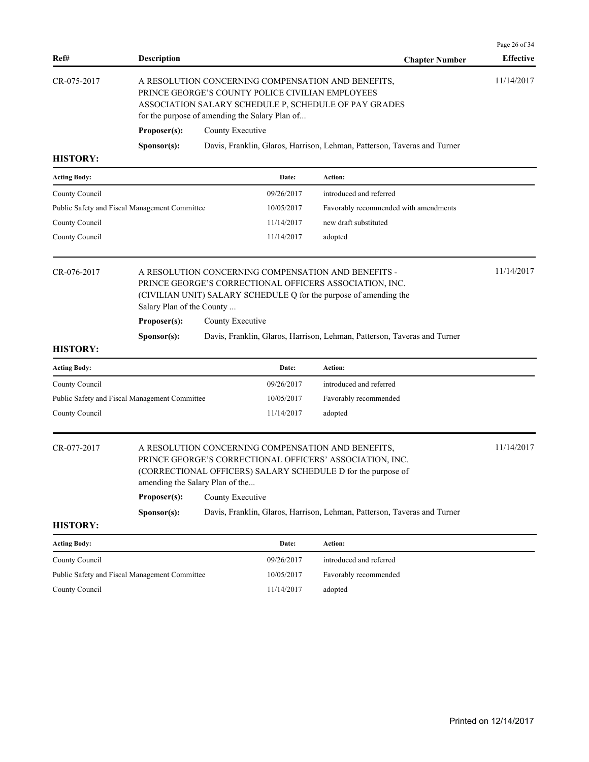| Ref#                                          | <b>Description</b>                                                                                                                                                                                                                                   |                                                                                                                                                                                                                   |            | <b>Chapter Number</b>                                                    | <b>Effective</b> |  |
|-----------------------------------------------|------------------------------------------------------------------------------------------------------------------------------------------------------------------------------------------------------------------------------------------------------|-------------------------------------------------------------------------------------------------------------------------------------------------------------------------------------------------------------------|------------|--------------------------------------------------------------------------|------------------|--|
| CR-075-2017                                   |                                                                                                                                                                                                                                                      | A RESOLUTION CONCERNING COMPENSATION AND BENEFITS,<br>PRINCE GEORGE'S COUNTY POLICE CIVILIAN EMPLOYEES<br>ASSOCIATION SALARY SCHEDULE P, SCHEDULE OF PAY GRADES<br>for the purpose of amending the Salary Plan of |            |                                                                          |                  |  |
|                                               | Proposer(s):                                                                                                                                                                                                                                         | County Executive                                                                                                                                                                                                  |            |                                                                          |                  |  |
|                                               | Sponsor(s):                                                                                                                                                                                                                                          |                                                                                                                                                                                                                   |            | Davis, Franklin, Glaros, Harrison, Lehman, Patterson, Taveras and Turner |                  |  |
| <b>HISTORY:</b>                               |                                                                                                                                                                                                                                                      |                                                                                                                                                                                                                   |            |                                                                          |                  |  |
| <b>Acting Body:</b>                           |                                                                                                                                                                                                                                                      |                                                                                                                                                                                                                   | Date:      | Action:                                                                  |                  |  |
| County Council                                |                                                                                                                                                                                                                                                      |                                                                                                                                                                                                                   | 09/26/2017 | introduced and referred                                                  |                  |  |
| Public Safety and Fiscal Management Committee |                                                                                                                                                                                                                                                      |                                                                                                                                                                                                                   | 10/05/2017 | Favorably recommended with amendments                                    |                  |  |
| County Council                                |                                                                                                                                                                                                                                                      |                                                                                                                                                                                                                   | 11/14/2017 | new draft substituted                                                    |                  |  |
| County Council                                |                                                                                                                                                                                                                                                      |                                                                                                                                                                                                                   | 11/14/2017 | adopted                                                                  |                  |  |
| CR-076-2017                                   | A RESOLUTION CONCERNING COMPENSATION AND BENEFITS -<br>PRINCE GEORGE'S CORRECTIONAL OFFICERS ASSOCIATION, INC.<br>(CIVILIAN UNIT) SALARY SCHEDULE Q for the purpose of amending the<br>Salary Plan of the County<br>Proposer(s):<br>County Executive |                                                                                                                                                                                                                   |            |                                                                          |                  |  |
|                                               | Sponsor(s):                                                                                                                                                                                                                                          |                                                                                                                                                                                                                   |            | Davis, Franklin, Glaros, Harrison, Lehman, Patterson, Taveras and Turner |                  |  |
| <b>HISTORY:</b>                               |                                                                                                                                                                                                                                                      |                                                                                                                                                                                                                   |            |                                                                          |                  |  |
| <b>Acting Body:</b>                           |                                                                                                                                                                                                                                                      |                                                                                                                                                                                                                   | Date:      | Action:                                                                  |                  |  |
| County Council                                |                                                                                                                                                                                                                                                      |                                                                                                                                                                                                                   | 09/26/2017 | introduced and referred                                                  |                  |  |
| Public Safety and Fiscal Management Committee |                                                                                                                                                                                                                                                      |                                                                                                                                                                                                                   | 10/05/2017 | Favorably recommended                                                    |                  |  |
| County Council                                |                                                                                                                                                                                                                                                      |                                                                                                                                                                                                                   | 11/14/2017 | adopted                                                                  |                  |  |
| CR-077-2017                                   | A RESOLUTION CONCERNING COMPENSATION AND BENEFITS,<br>PRINCE GEORGE'S CORRECTIONAL OFFICERS' ASSOCIATION, INC.<br>(CORRECTIONAL OFFICERS) SALARY SCHEDULE D for the purpose of<br>amending the Salary Plan of the                                    |                                                                                                                                                                                                                   |            |                                                                          |                  |  |
|                                               | Proposer(s):                                                                                                                                                                                                                                         | County Executive                                                                                                                                                                                                  |            |                                                                          |                  |  |
| <b>HISTORY:</b>                               | S <b>p</b> onsor(s):                                                                                                                                                                                                                                 |                                                                                                                                                                                                                   |            | Davis, Franklin, Glaros, Harrison, Lehman, Patterson, Taveras and Turner |                  |  |
| <b>Acting Body:</b>                           |                                                                                                                                                                                                                                                      |                                                                                                                                                                                                                   | Date:      | Action:                                                                  |                  |  |
| County Council                                |                                                                                                                                                                                                                                                      |                                                                                                                                                                                                                   | 09/26/2017 | introduced and referred                                                  |                  |  |
| Public Safety and Fiscal Management Committee |                                                                                                                                                                                                                                                      |                                                                                                                                                                                                                   | 10/05/2017 | Favorably recommended                                                    |                  |  |
| County Council                                |                                                                                                                                                                                                                                                      |                                                                                                                                                                                                                   | 11/14/2017 | adopted                                                                  |                  |  |
|                                               |                                                                                                                                                                                                                                                      |                                                                                                                                                                                                                   |            |                                                                          |                  |  |

Page 26 of 34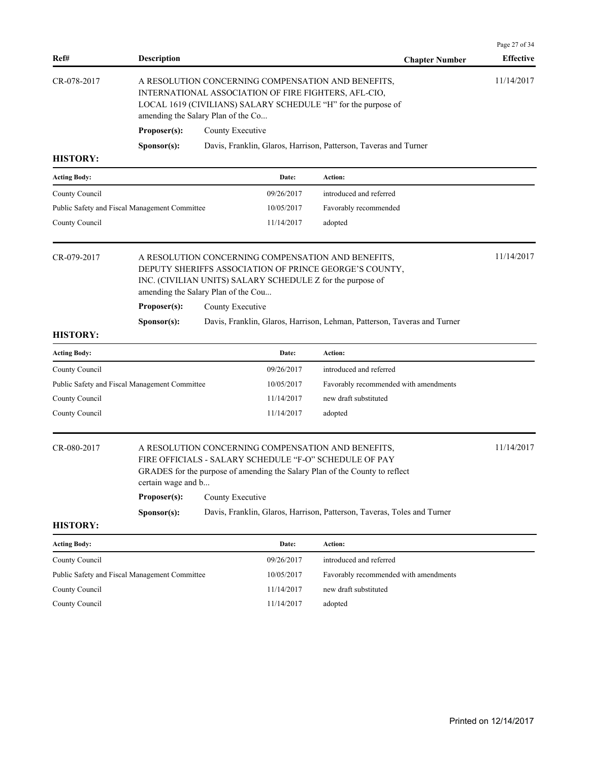| Ref#                                                                                                                                                                                                                             | <b>Description</b>                 |                                                                                                                                                                                                                                       |            | <b>Chapter Number</b>                                                                                                                                                       | Page 27 of 34<br><b>Effective</b> |  |
|----------------------------------------------------------------------------------------------------------------------------------------------------------------------------------------------------------------------------------|------------------------------------|---------------------------------------------------------------------------------------------------------------------------------------------------------------------------------------------------------------------------------------|------------|-----------------------------------------------------------------------------------------------------------------------------------------------------------------------------|-----------------------------------|--|
| CR-078-2017                                                                                                                                                                                                                      | amending the Salary Plan of the Co |                                                                                                                                                                                                                                       |            | A RESOLUTION CONCERNING COMPENSATION AND BENEFITS,<br>INTERNATIONAL ASSOCIATION OF FIRE FIGHTERS, AFL-CIO,<br>LOCAL 1619 (CIVILIANS) SALARY SCHEDULE "H" for the purpose of | 11/14/2017                        |  |
|                                                                                                                                                                                                                                  | Proposer(s):                       | County Executive                                                                                                                                                                                                                      |            |                                                                                                                                                                             |                                   |  |
|                                                                                                                                                                                                                                  | Sponsor(s):                        |                                                                                                                                                                                                                                       |            | Davis, Franklin, Glaros, Harrison, Patterson, Taveras and Turner                                                                                                            |                                   |  |
| <b>HISTORY:</b>                                                                                                                                                                                                                  |                                    |                                                                                                                                                                                                                                       |            |                                                                                                                                                                             |                                   |  |
| <b>Acting Body:</b>                                                                                                                                                                                                              |                                    |                                                                                                                                                                                                                                       | Date:      | Action:                                                                                                                                                                     |                                   |  |
| County Council                                                                                                                                                                                                                   |                                    |                                                                                                                                                                                                                                       | 09/26/2017 | introduced and referred                                                                                                                                                     |                                   |  |
| Public Safety and Fiscal Management Committee                                                                                                                                                                                    |                                    |                                                                                                                                                                                                                                       | 10/05/2017 | Favorably recommended                                                                                                                                                       |                                   |  |
| County Council                                                                                                                                                                                                                   |                                    |                                                                                                                                                                                                                                       | 11/14/2017 | adopted                                                                                                                                                                     |                                   |  |
| CR-079-2017<br>A RESOLUTION CONCERNING COMPENSATION AND BENEFITS,<br>DEPUTY SHERIFFS ASSOCIATION OF PRINCE GEORGE'S COUNTY,<br>INC. (CIVILIAN UNITS) SALARY SCHEDULE Z for the purpose of<br>amending the Salary Plan of the Cou |                                    |                                                                                                                                                                                                                                       |            |                                                                                                                                                                             | 11/14/2017                        |  |
|                                                                                                                                                                                                                                  | Proposer(s):                       | County Executive                                                                                                                                                                                                                      |            |                                                                                                                                                                             |                                   |  |
| <b>HISTORY:</b>                                                                                                                                                                                                                  | Sponsor(s):                        |                                                                                                                                                                                                                                       |            | Davis, Franklin, Glaros, Harrison, Lehman, Patterson, Taveras and Turner                                                                                                    |                                   |  |
| <b>Acting Body:</b>                                                                                                                                                                                                              |                                    |                                                                                                                                                                                                                                       | Date:      | Action:                                                                                                                                                                     |                                   |  |
| County Council                                                                                                                                                                                                                   |                                    |                                                                                                                                                                                                                                       | 09/26/2017 | introduced and referred                                                                                                                                                     |                                   |  |
| Public Safety and Fiscal Management Committee                                                                                                                                                                                    |                                    |                                                                                                                                                                                                                                       | 10/05/2017 | Favorably recommended with amendments                                                                                                                                       |                                   |  |
| County Council                                                                                                                                                                                                                   |                                    |                                                                                                                                                                                                                                       | 11/14/2017 | new draft substituted                                                                                                                                                       |                                   |  |
| County Council                                                                                                                                                                                                                   |                                    |                                                                                                                                                                                                                                       | 11/14/2017 | adopted                                                                                                                                                                     |                                   |  |
| CR-080-2017                                                                                                                                                                                                                      | Proposer(s):                       | A RESOLUTION CONCERNING COMPENSATION AND BENEFITS,<br>FIRE OFFICIALS - SALARY SCHEDULE "F-O" SCHEDULE OF PAY<br>GRADES for the purpose of amending the Salary Plan of the County to reflect<br>certain wage and b<br>County Executive |            |                                                                                                                                                                             |                                   |  |
|                                                                                                                                                                                                                                  | Sponsor(s):                        |                                                                                                                                                                                                                                       |            | Davis, Franklin, Glaros, Harrison, Patterson, Taveras, Toles and Turner                                                                                                     |                                   |  |
| <b>HISTORY:</b>                                                                                                                                                                                                                  |                                    |                                                                                                                                                                                                                                       |            |                                                                                                                                                                             |                                   |  |
| <b>Acting Body:</b>                                                                                                                                                                                                              |                                    |                                                                                                                                                                                                                                       | Date:      | Action:                                                                                                                                                                     |                                   |  |
| County Council                                                                                                                                                                                                                   |                                    |                                                                                                                                                                                                                                       | 09/26/2017 | introduced and referred                                                                                                                                                     |                                   |  |
| Public Safety and Fiscal Management Committee                                                                                                                                                                                    |                                    |                                                                                                                                                                                                                                       | 10/05/2017 | Favorably recommended with amendments                                                                                                                                       |                                   |  |
| County Council                                                                                                                                                                                                                   |                                    |                                                                                                                                                                                                                                       | 11/14/2017 | new draft substituted                                                                                                                                                       |                                   |  |
| County Council                                                                                                                                                                                                                   |                                    |                                                                                                                                                                                                                                       | 11/14/2017 | adopted                                                                                                                                                                     |                                   |  |
|                                                                                                                                                                                                                                  |                                    |                                                                                                                                                                                                                                       |            |                                                                                                                                                                             |                                   |  |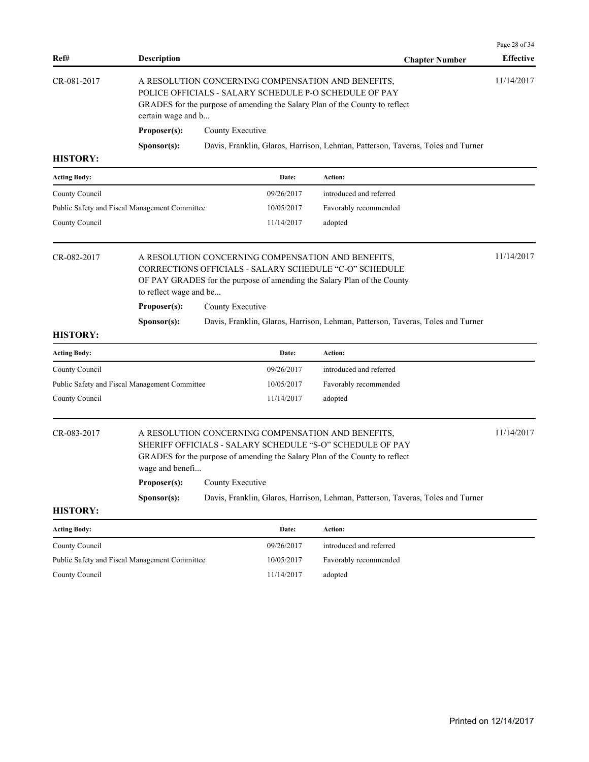| Ref#                                                                                                                                                                                                                             | <b>Description</b>                                                                                                                                                                                                |                  |            | <b>Chapter Number</b>                                                                                                                                                                          | <b>Effective</b> |
|----------------------------------------------------------------------------------------------------------------------------------------------------------------------------------------------------------------------------------|-------------------------------------------------------------------------------------------------------------------------------------------------------------------------------------------------------------------|------------------|------------|------------------------------------------------------------------------------------------------------------------------------------------------------------------------------------------------|------------------|
| CR-081-2017                                                                                                                                                                                                                      | A RESOLUTION CONCERNING COMPENSATION AND BENEFITS,<br>POLICE OFFICIALS - SALARY SCHEDULE P-O SCHEDULE OF PAY<br>GRADES for the purpose of amending the Salary Plan of the County to reflect<br>certain wage and b |                  |            | 11/14/2017                                                                                                                                                                                     |                  |
|                                                                                                                                                                                                                                  | Proposer(s):                                                                                                                                                                                                      | County Executive |            |                                                                                                                                                                                                |                  |
|                                                                                                                                                                                                                                  | Sponsor(s):                                                                                                                                                                                                       |                  |            | Davis, Franklin, Glaros, Harrison, Lehman, Patterson, Taveras, Toles and Turner                                                                                                                |                  |
| <b>HISTORY:</b>                                                                                                                                                                                                                  |                                                                                                                                                                                                                   |                  |            |                                                                                                                                                                                                |                  |
| <b>Acting Body:</b>                                                                                                                                                                                                              |                                                                                                                                                                                                                   |                  | Date:      | <b>Action:</b>                                                                                                                                                                                 |                  |
| County Council                                                                                                                                                                                                                   |                                                                                                                                                                                                                   |                  | 09/26/2017 | introduced and referred                                                                                                                                                                        |                  |
| Public Safety and Fiscal Management Committee                                                                                                                                                                                    |                                                                                                                                                                                                                   |                  | 10/05/2017 | Favorably recommended                                                                                                                                                                          |                  |
| County Council                                                                                                                                                                                                                   |                                                                                                                                                                                                                   |                  | 11/14/2017 | adopted                                                                                                                                                                                        |                  |
| CR-082-2017<br>A RESOLUTION CONCERNING COMPENSATION AND BENEFITS,<br>CORRECTIONS OFFICIALS - SALARY SCHEDULE "C-O" SCHEDULE<br>OF PAY GRADES for the purpose of amending the Salary Plan of the County<br>to reflect wage and be |                                                                                                                                                                                                                   |                  |            | 11/14/2017                                                                                                                                                                                     |                  |
|                                                                                                                                                                                                                                  | Proposer(s):<br>County Executive                                                                                                                                                                                  |                  |            |                                                                                                                                                                                                |                  |
|                                                                                                                                                                                                                                  | Sponsor(s):                                                                                                                                                                                                       |                  |            | Davis, Franklin, Glaros, Harrison, Lehman, Patterson, Taveras, Toles and Turner                                                                                                                |                  |
| <b>HISTORY:</b>                                                                                                                                                                                                                  |                                                                                                                                                                                                                   |                  |            |                                                                                                                                                                                                |                  |
| <b>Acting Body:</b>                                                                                                                                                                                                              |                                                                                                                                                                                                                   |                  | Date:      | Action:                                                                                                                                                                                        |                  |
| County Council                                                                                                                                                                                                                   |                                                                                                                                                                                                                   |                  | 09/26/2017 | introduced and referred                                                                                                                                                                        |                  |
| Public Safety and Fiscal Management Committee                                                                                                                                                                                    |                                                                                                                                                                                                                   |                  | 10/05/2017 | Favorably recommended                                                                                                                                                                          |                  |
| County Council                                                                                                                                                                                                                   |                                                                                                                                                                                                                   |                  | 11/14/2017 | adopted                                                                                                                                                                                        |                  |
| CR-083-2017                                                                                                                                                                                                                      | wage and benefi                                                                                                                                                                                                   |                  |            | A RESOLUTION CONCERNING COMPENSATION AND BENEFITS,<br>SHERIFF OFFICIALS - SALARY SCHEDULE "S-O" SCHEDULE OF PAY<br>GRADES for the purpose of amending the Salary Plan of the County to reflect | 11/14/2017       |
|                                                                                                                                                                                                                                  | <b>Proposer(s):</b> County Executive                                                                                                                                                                              |                  |            |                                                                                                                                                                                                |                  |
|                                                                                                                                                                                                                                  | Sponsor(s):                                                                                                                                                                                                       |                  |            | Davis, Franklin, Glaros, Harrison, Lehman, Patterson, Taveras, Toles and Turner                                                                                                                |                  |
| <b>HISTORY:</b>                                                                                                                                                                                                                  |                                                                                                                                                                                                                   |                  |            |                                                                                                                                                                                                |                  |
| <b>Acting Body:</b>                                                                                                                                                                                                              |                                                                                                                                                                                                                   |                  | Date:      | Action:                                                                                                                                                                                        |                  |
| County Council                                                                                                                                                                                                                   |                                                                                                                                                                                                                   |                  | 09/26/2017 | introduced and referred                                                                                                                                                                        |                  |
| Public Safety and Fiscal Management Committee                                                                                                                                                                                    |                                                                                                                                                                                                                   |                  | 10/05/2017 | Favorably recommended                                                                                                                                                                          |                  |
| County Council                                                                                                                                                                                                                   |                                                                                                                                                                                                                   |                  | 11/14/2017 | adopted                                                                                                                                                                                        |                  |
|                                                                                                                                                                                                                                  |                                                                                                                                                                                                                   |                  |            |                                                                                                                                                                                                |                  |
|                                                                                                                                                                                                                                  |                                                                                                                                                                                                                   |                  |            |                                                                                                                                                                                                |                  |
|                                                                                                                                                                                                                                  |                                                                                                                                                                                                                   |                  |            |                                                                                                                                                                                                |                  |

Page 28 of 34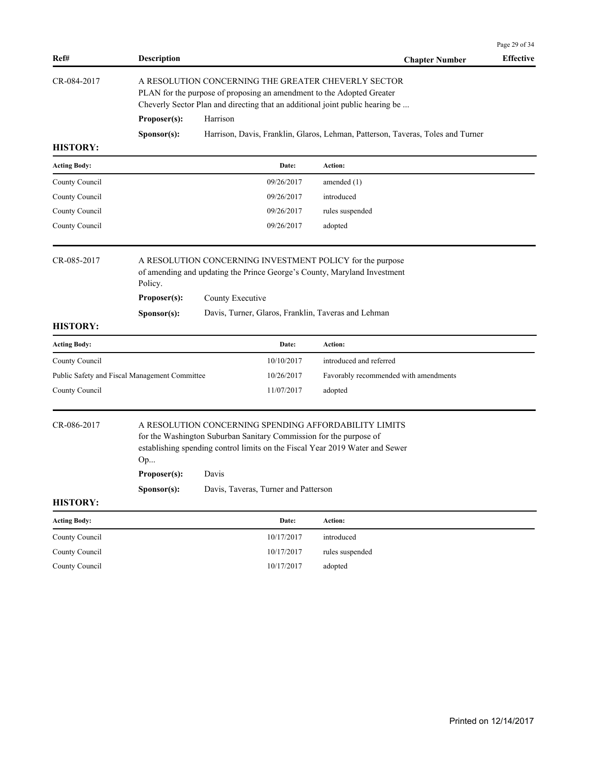|                                               |                                                                                                                                                                                                               |                                                                                                                     |            |                                                                                                                                       | Page 29 of 34    |
|-----------------------------------------------|---------------------------------------------------------------------------------------------------------------------------------------------------------------------------------------------------------------|---------------------------------------------------------------------------------------------------------------------|------------|---------------------------------------------------------------------------------------------------------------------------------------|------------------|
| Ref#                                          | <b>Description</b>                                                                                                                                                                                            |                                                                                                                     |            | <b>Chapter Number</b>                                                                                                                 | <b>Effective</b> |
| CR-084-2017                                   | A RESOLUTION CONCERNING THE GREATER CHEVERLY SECTOR<br>PLAN for the purpose of proposing an amendment to the Adopted Greater<br>Cheverly Sector Plan and directing that an additional joint public hearing be |                                                                                                                     |            |                                                                                                                                       |                  |
|                                               | Proposer(s):                                                                                                                                                                                                  | Harrison                                                                                                            |            |                                                                                                                                       |                  |
|                                               | Sponsor(s):                                                                                                                                                                                                   |                                                                                                                     |            | Harrison, Davis, Franklin, Glaros, Lehman, Patterson, Taveras, Toles and Turner                                                       |                  |
| <b>HISTORY:</b>                               |                                                                                                                                                                                                               |                                                                                                                     |            |                                                                                                                                       |                  |
| <b>Acting Body:</b>                           |                                                                                                                                                                                                               |                                                                                                                     | Date:      | Action:                                                                                                                               |                  |
| County Council                                |                                                                                                                                                                                                               |                                                                                                                     | 09/26/2017 | amended $(1)$                                                                                                                         |                  |
| County Council                                |                                                                                                                                                                                                               |                                                                                                                     | 09/26/2017 | introduced                                                                                                                            |                  |
| County Council                                |                                                                                                                                                                                                               |                                                                                                                     | 09/26/2017 | rules suspended                                                                                                                       |                  |
| County Council                                |                                                                                                                                                                                                               |                                                                                                                     | 09/26/2017 | adopted                                                                                                                               |                  |
| CR-085-2017                                   | A RESOLUTION CONCERNING INVESTMENT POLICY for the purpose<br>of amending and updating the Prince George's County, Maryland Investment<br>Policy.<br>Proposer(s):<br>County Executive                          |                                                                                                                     |            |                                                                                                                                       |                  |
|                                               | Sponsor(s):                                                                                                                                                                                                   |                                                                                                                     |            | Davis, Turner, Glaros, Franklin, Taveras and Lehman                                                                                   |                  |
| <b>HISTORY:</b>                               |                                                                                                                                                                                                               |                                                                                                                     |            |                                                                                                                                       |                  |
| <b>Acting Body:</b>                           |                                                                                                                                                                                                               |                                                                                                                     | Date:      | Action:                                                                                                                               |                  |
| County Council                                |                                                                                                                                                                                                               |                                                                                                                     | 10/10/2017 | introduced and referred                                                                                                               |                  |
| Public Safety and Fiscal Management Committee |                                                                                                                                                                                                               |                                                                                                                     | 10/26/2017 | Favorably recommended with amendments                                                                                                 |                  |
| County Council                                |                                                                                                                                                                                                               |                                                                                                                     | 11/07/2017 | adopted                                                                                                                               |                  |
| CR-086-2017                                   | Op<br>Proposer(s):<br>Sponsor(s):                                                                                                                                                                             | for the Washington Suburban Sanitary Commission for the purpose of<br>Davis<br>Davis, Taveras, Turner and Patterson |            | A RESOLUTION CONCERNING SPENDING AFFORDABILITY LIMITS<br>establishing spending control limits on the Fiscal Year 2019 Water and Sewer |                  |
| <b>HISTORY:</b>                               |                                                                                                                                                                                                               |                                                                                                                     |            |                                                                                                                                       |                  |
| <b>Acting Body:</b>                           |                                                                                                                                                                                                               |                                                                                                                     | Date:      | Action:                                                                                                                               |                  |
| County Council                                |                                                                                                                                                                                                               |                                                                                                                     | 10/17/2017 | introduced                                                                                                                            |                  |
| County Council                                |                                                                                                                                                                                                               |                                                                                                                     | 10/17/2017 | rules suspended                                                                                                                       |                  |
| County Council                                |                                                                                                                                                                                                               |                                                                                                                     | 10/17/2017 | adopted                                                                                                                               |                  |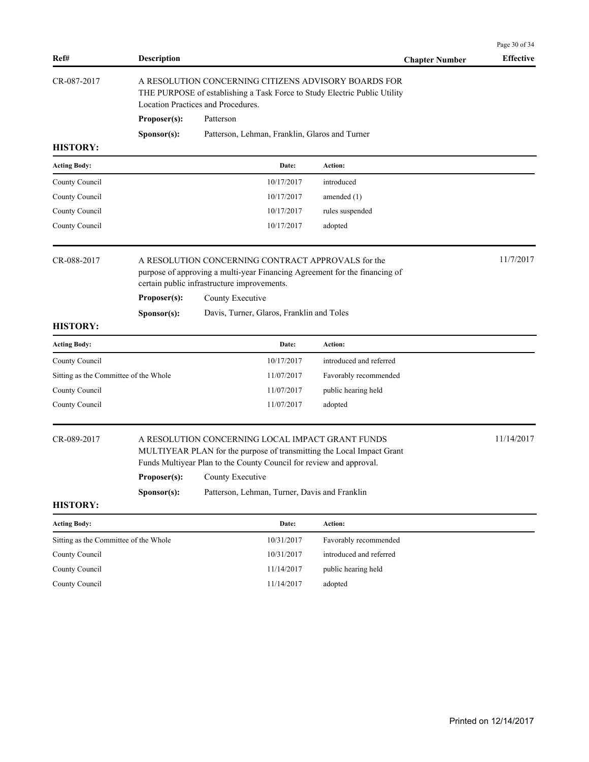| Ref#                                  | <b>Description</b>                                                                                                                                                      |                                                                                                                                                                                                                      | <b>Chapter Number</b>   | Page 30 of 34<br><b>Effective</b> |
|---------------------------------------|-------------------------------------------------------------------------------------------------------------------------------------------------------------------------|----------------------------------------------------------------------------------------------------------------------------------------------------------------------------------------------------------------------|-------------------------|-----------------------------------|
| CR-087-2017                           | A RESOLUTION CONCERNING CITIZENS ADVISORY BOARDS FOR<br>THE PURPOSE of establishing a Task Force to Study Electric Public Utility<br>Location Practices and Procedures. |                                                                                                                                                                                                                      |                         |                                   |
|                                       | Proposer(s):                                                                                                                                                            | Patterson                                                                                                                                                                                                            |                         |                                   |
|                                       | Sponsor(s):                                                                                                                                                             | Patterson, Lehman, Franklin, Glaros and Turner                                                                                                                                                                       |                         |                                   |
| <b>HISTORY:</b>                       |                                                                                                                                                                         |                                                                                                                                                                                                                      |                         |                                   |
| <b>Acting Body:</b>                   |                                                                                                                                                                         | Date:                                                                                                                                                                                                                | Action:                 |                                   |
| County Council                        |                                                                                                                                                                         | 10/17/2017                                                                                                                                                                                                           | introduced              |                                   |
| County Council                        |                                                                                                                                                                         | 10/17/2017                                                                                                                                                                                                           | amended $(1)$           |                                   |
| County Council                        |                                                                                                                                                                         | 10/17/2017                                                                                                                                                                                                           | rules suspended         |                                   |
| County Council                        |                                                                                                                                                                         | 10/17/2017                                                                                                                                                                                                           | adopted                 |                                   |
| CR-088-2017                           |                                                                                                                                                                         | A RESOLUTION CONCERNING CONTRACT APPROVALS for the<br>purpose of approving a multi-year Financing Agreement for the financing of<br>certain public infrastructure improvements.                                      |                         |                                   |
|                                       | Proposer(s):                                                                                                                                                            | County Executive                                                                                                                                                                                                     |                         |                                   |
|                                       | Sponsor(s):                                                                                                                                                             | Davis, Turner, Glaros, Franklin and Toles                                                                                                                                                                            |                         |                                   |
| <b>HISTORY:</b>                       |                                                                                                                                                                         |                                                                                                                                                                                                                      |                         |                                   |
| <b>Acting Body:</b>                   |                                                                                                                                                                         | Date:                                                                                                                                                                                                                | Action:                 |                                   |
| County Council                        |                                                                                                                                                                         | 10/17/2017                                                                                                                                                                                                           | introduced and referred |                                   |
| Sitting as the Committee of the Whole |                                                                                                                                                                         | 11/07/2017                                                                                                                                                                                                           | Favorably recommended   |                                   |
| County Council                        |                                                                                                                                                                         | 11/07/2017                                                                                                                                                                                                           | public hearing held     |                                   |
| County Council                        |                                                                                                                                                                         | 11/07/2017                                                                                                                                                                                                           | adopted                 |                                   |
| CR-089-2017                           | Proposer(s):                                                                                                                                                            | A RESOLUTION CONCERNING LOCAL IMPACT GRANT FUNDS<br>MULTIYEAR PLAN for the purpose of transmitting the Local Impact Grant<br>Funds Multiyear Plan to the County Council for review and approval.<br>County Executive |                         | 11/14/2017                        |
|                                       | Sponsor(s):                                                                                                                                                             | Patterson, Lehman, Turner, Davis and Franklin                                                                                                                                                                        |                         |                                   |
| <b>HISTORY:</b>                       |                                                                                                                                                                         |                                                                                                                                                                                                                      |                         |                                   |
| <b>Acting Body:</b>                   |                                                                                                                                                                         | Date:                                                                                                                                                                                                                | Action:                 |                                   |
| Sitting as the Committee of the Whole |                                                                                                                                                                         | 10/31/2017                                                                                                                                                                                                           | Favorably recommended   |                                   |
| County Council                        |                                                                                                                                                                         | 10/31/2017                                                                                                                                                                                                           | introduced and referred |                                   |
| County Council                        |                                                                                                                                                                         | 11/14/2017                                                                                                                                                                                                           | public hearing held     |                                   |
| County Council                        |                                                                                                                                                                         | 11/14/2017                                                                                                                                                                                                           | adopted                 |                                   |
|                                       |                                                                                                                                                                         |                                                                                                                                                                                                                      |                         |                                   |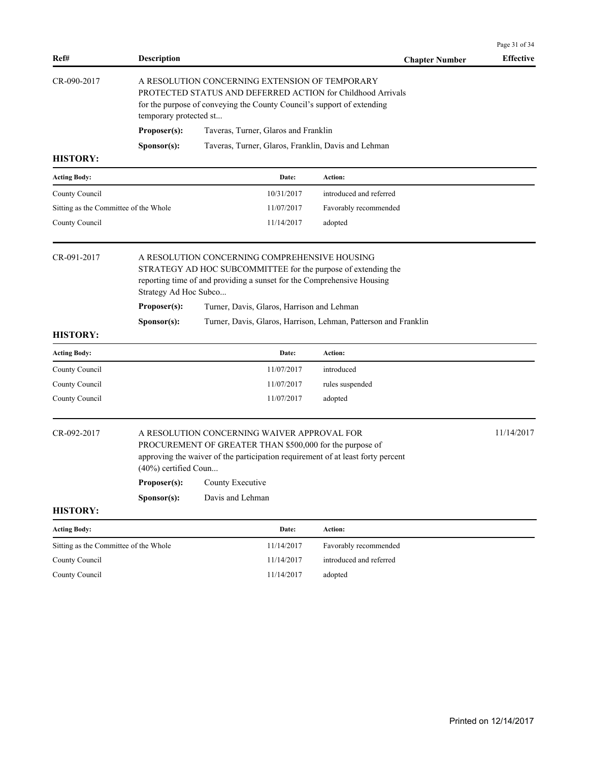|                                       |                                                                                                                                                                                                                   |                                                                                                                                                                                            |                                                                 | Page 31 of 34    |
|---------------------------------------|-------------------------------------------------------------------------------------------------------------------------------------------------------------------------------------------------------------------|--------------------------------------------------------------------------------------------------------------------------------------------------------------------------------------------|-----------------------------------------------------------------|------------------|
| Ref#                                  | <b>Description</b>                                                                                                                                                                                                |                                                                                                                                                                                            | <b>Chapter Number</b>                                           | <b>Effective</b> |
| CR-090-2017                           | A RESOLUTION CONCERNING EXTENSION OF TEMPORARY<br>PROTECTED STATUS AND DEFERRED ACTION for Childhood Arrivals<br>for the purpose of conveying the County Council's support of extending<br>temporary protected st |                                                                                                                                                                                            |                                                                 |                  |
|                                       | Proposer(s):                                                                                                                                                                                                      | Taveras, Turner, Glaros and Franklin                                                                                                                                                       |                                                                 |                  |
|                                       | Sponsor(s):                                                                                                                                                                                                       | Taveras, Turner, Glaros, Franklin, Davis and Lehman                                                                                                                                        |                                                                 |                  |
| <b>HISTORY:</b>                       |                                                                                                                                                                                                                   |                                                                                                                                                                                            |                                                                 |                  |
| <b>Acting Body:</b>                   |                                                                                                                                                                                                                   | Date:                                                                                                                                                                                      | Action:                                                         |                  |
| County Council                        |                                                                                                                                                                                                                   | 10/31/2017                                                                                                                                                                                 | introduced and referred                                         |                  |
| Sitting as the Committee of the Whole |                                                                                                                                                                                                                   | 11/07/2017                                                                                                                                                                                 | Favorably recommended                                           |                  |
| County Council                        |                                                                                                                                                                                                                   | 11/14/2017                                                                                                                                                                                 | adopted                                                         |                  |
| CR-091-2017                           | A RESOLUTION CONCERNING COMPREHENSIVE HOUSING<br>STRATEGY AD HOC SUBCOMMITTEE for the purpose of extending the<br>reporting time of and providing a sunset for the Comprehensive Housing<br>Strategy Ad Hoc Subco |                                                                                                                                                                                            |                                                                 |                  |
|                                       | Proposer(s):                                                                                                                                                                                                      | Turner, Davis, Glaros, Harrison and Lehman                                                                                                                                                 |                                                                 |                  |
|                                       | Sponsor(s):                                                                                                                                                                                                       |                                                                                                                                                                                            | Turner, Davis, Glaros, Harrison, Lehman, Patterson and Franklin |                  |
| <b>HISTORY:</b>                       |                                                                                                                                                                                                                   |                                                                                                                                                                                            |                                                                 |                  |
| <b>Acting Body:</b>                   |                                                                                                                                                                                                                   | Date:                                                                                                                                                                                      | Action:                                                         |                  |
| County Council                        |                                                                                                                                                                                                                   | 11/07/2017                                                                                                                                                                                 | introduced                                                      |                  |
| County Council                        |                                                                                                                                                                                                                   | 11/07/2017                                                                                                                                                                                 | rules suspended                                                 |                  |
| County Council                        |                                                                                                                                                                                                                   | 11/07/2017                                                                                                                                                                                 | adopted                                                         |                  |
| CR-092-2017                           | $(40\%)$ certified Coun                                                                                                                                                                                           | A RESOLUTION CONCERNING WAIVER APPROVAL FOR<br>PROCUREMENT OF GREATER THAN \$500,000 for the purpose of<br>approving the waiver of the participation requirement of at least forty percent |                                                                 | 11/14/2017       |
|                                       | Proposer(s):                                                                                                                                                                                                      | County Executive                                                                                                                                                                           |                                                                 |                  |
|                                       | Sponsor(s):                                                                                                                                                                                                       | Davis and Lehman                                                                                                                                                                           |                                                                 |                  |
| <b>HISTORY:</b>                       |                                                                                                                                                                                                                   |                                                                                                                                                                                            |                                                                 |                  |
| <b>Acting Body:</b>                   |                                                                                                                                                                                                                   | Date:                                                                                                                                                                                      | Action:                                                         |                  |
| Sitting as the Committee of the Whole |                                                                                                                                                                                                                   | 11/14/2017                                                                                                                                                                                 | Favorably recommended                                           |                  |
| County Council                        |                                                                                                                                                                                                                   | 11/14/2017                                                                                                                                                                                 | introduced and referred                                         |                  |
| County Council                        |                                                                                                                                                                                                                   | 11/14/2017                                                                                                                                                                                 | adopted                                                         |                  |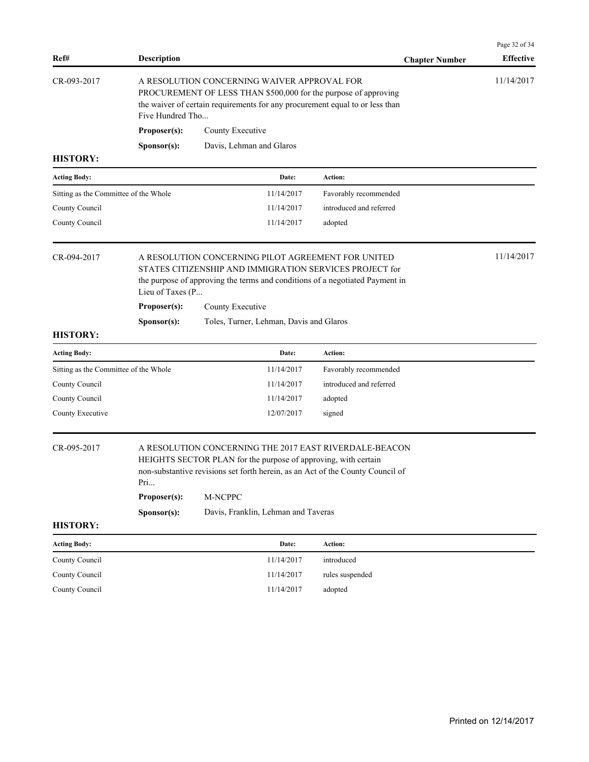| Ref#                                  | <b>Description</b>                                                                                                                                                                                                 |                                                                                                                                                                                                            | <b>Chapter Number</b>   | Page 32 of 34<br><b>Effective</b> |
|---------------------------------------|--------------------------------------------------------------------------------------------------------------------------------------------------------------------------------------------------------------------|------------------------------------------------------------------------------------------------------------------------------------------------------------------------------------------------------------|-------------------------|-----------------------------------|
| CR-093-2017                           | A RESOLUTION CONCERNING WAIVER APPROVAL FOR<br>PROCUREMENT OF LESS THAN \$500,000 for the purpose of approving<br>the waiver of certain requirements for any procurement equal to or less than<br>Five Hundred Tho |                                                                                                                                                                                                            |                         | 11/14/2017                        |
|                                       | Proposer(s):                                                                                                                                                                                                       | County Executive                                                                                                                                                                                           |                         |                                   |
|                                       | Sponsor(s):                                                                                                                                                                                                        | Davis, Lehman and Glaros                                                                                                                                                                                   |                         |                                   |
| <b>HISTORY:</b>                       |                                                                                                                                                                                                                    |                                                                                                                                                                                                            |                         |                                   |
| <b>Acting Body:</b>                   |                                                                                                                                                                                                                    | Date:                                                                                                                                                                                                      | Action:                 |                                   |
| Sitting as the Committee of the Whole |                                                                                                                                                                                                                    | 11/14/2017                                                                                                                                                                                                 | Favorably recommended   |                                   |
| County Council                        |                                                                                                                                                                                                                    | 11/14/2017                                                                                                                                                                                                 | introduced and referred |                                   |
| County Council                        |                                                                                                                                                                                                                    | 11/14/2017                                                                                                                                                                                                 | adopted                 |                                   |
| CR-094-2017<br>Lieu of Taxes (P       |                                                                                                                                                                                                                    | A RESOLUTION CONCERNING PILOT AGREEMENT FOR UNITED<br>STATES CITIZENSHIP AND IMMIGRATION SERVICES PROJECT for<br>the purpose of approving the terms and conditions of a negotiated Payment in              |                         | 11/14/2017                        |
|                                       | Proposer(s):                                                                                                                                                                                                       | County Executive                                                                                                                                                                                           |                         |                                   |
|                                       | Sponsor(s):                                                                                                                                                                                                        | Toles, Turner, Lehman, Davis and Glaros                                                                                                                                                                    |                         |                                   |
| <b>HISTORY:</b>                       |                                                                                                                                                                                                                    |                                                                                                                                                                                                            |                         |                                   |
| <b>Acting Body:</b>                   |                                                                                                                                                                                                                    | Date:                                                                                                                                                                                                      | Action:                 |                                   |
| Sitting as the Committee of the Whole |                                                                                                                                                                                                                    | 11/14/2017                                                                                                                                                                                                 | Favorably recommended   |                                   |
| County Council                        |                                                                                                                                                                                                                    | 11/14/2017                                                                                                                                                                                                 | introduced and referred |                                   |
| County Council                        |                                                                                                                                                                                                                    | 11/14/2017                                                                                                                                                                                                 | adopted                 |                                   |
| County Executive                      |                                                                                                                                                                                                                    | 12/07/2017                                                                                                                                                                                                 | signed                  |                                   |
| CR-095-2017                           | Pri                                                                                                                                                                                                                | A RESOLUTION CONCERNING THE 2017 EAST RIVERDALE-BEACON<br>HEIGHTS SECTOR PLAN for the purpose of approving, with certain<br>non-substantive revisions set forth herein, as an Act of the County Council of |                         |                                   |
|                                       | Proposer(s):                                                                                                                                                                                                       | M-NCPPC                                                                                                                                                                                                    |                         |                                   |
|                                       | Sponsor(s):                                                                                                                                                                                                        | Davis, Franklin, Lehman and Taveras                                                                                                                                                                        |                         |                                   |
| <b>HISTORY:</b>                       |                                                                                                                                                                                                                    |                                                                                                                                                                                                            |                         |                                   |
| <b>Acting Body:</b>                   |                                                                                                                                                                                                                    | Date:                                                                                                                                                                                                      | Action:                 |                                   |
| County Council                        |                                                                                                                                                                                                                    | 11/14/2017                                                                                                                                                                                                 | introduced              |                                   |
| County Council                        |                                                                                                                                                                                                                    | 11/14/2017                                                                                                                                                                                                 | rules suspended         |                                   |
| County Council                        |                                                                                                                                                                                                                    | 11/14/2017                                                                                                                                                                                                 | adopted                 |                                   |
|                                       |                                                                                                                                                                                                                    |                                                                                                                                                                                                            |                         |                                   |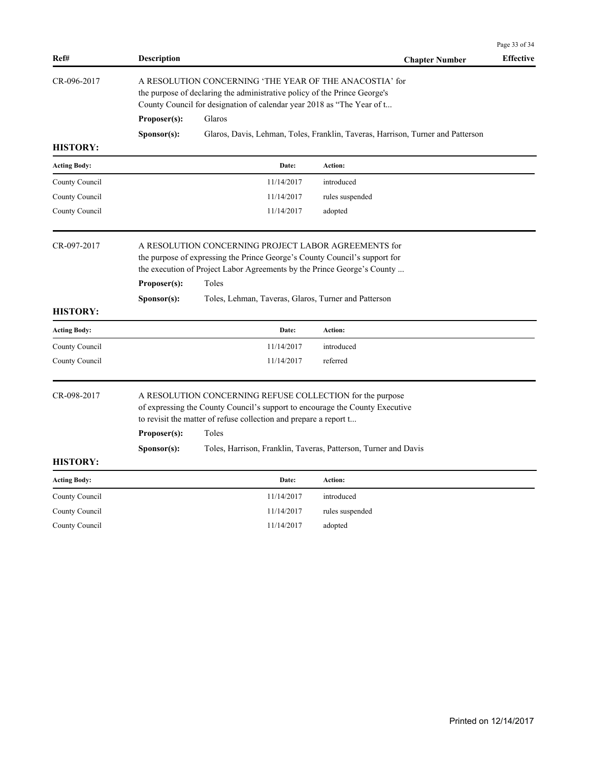| Ref#                | <b>Description</b>                   |                                                                                                                                                                                                                         | <b>Chapter Number</b>                                                           | <b>Effective</b> |
|---------------------|--------------------------------------|-------------------------------------------------------------------------------------------------------------------------------------------------------------------------------------------------------------------------|---------------------------------------------------------------------------------|------------------|
| CR-096-2017         |                                      | A RESOLUTION CONCERNING 'THE YEAR OF THE ANACOSTIA' for<br>the purpose of declaring the administrative policy of the Prince George's<br>County Council for designation of calendar year 2018 as "The Year of t          |                                                                                 |                  |
|                     | Proposer(s):                         | Glaros                                                                                                                                                                                                                  |                                                                                 |                  |
|                     | S <b>p</b> onsor(s):                 |                                                                                                                                                                                                                         | Glaros, Davis, Lehman, Toles, Franklin, Taveras, Harrison, Turner and Patterson |                  |
| <b>HISTORY:</b>     |                                      |                                                                                                                                                                                                                         |                                                                                 |                  |
| <b>Acting Body:</b> |                                      | Date:                                                                                                                                                                                                                   | Action:                                                                         |                  |
| County Council      |                                      | 11/14/2017                                                                                                                                                                                                              | introduced                                                                      |                  |
| County Council      |                                      | 11/14/2017                                                                                                                                                                                                              | rules suspended                                                                 |                  |
| County Council      |                                      | 11/14/2017                                                                                                                                                                                                              | adopted                                                                         |                  |
| CR-097-2017         | Proposer(s):                         | A RESOLUTION CONCERNING PROJECT LABOR AGREEMENTS for<br>the purpose of expressing the Prince George's County Council's support for<br>the execution of Project Labor Agreements by the Prince George's County<br>Toles  |                                                                                 |                  |
| <b>HISTORY:</b>     | Sponsor(s):                          | Toles, Lehman, Taveras, Glaros, Turner and Patterson                                                                                                                                                                    |                                                                                 |                  |
| <b>Acting Body:</b> |                                      | Date:                                                                                                                                                                                                                   | Action:                                                                         |                  |
| County Council      |                                      | 11/14/2017                                                                                                                                                                                                              | introduced                                                                      |                  |
| County Council      |                                      | 11/14/2017                                                                                                                                                                                                              | referred                                                                        |                  |
| CR-098-2017         | Proposer(s):<br>S <b>p</b> onsor(s): | A RESOLUTION CONCERNING REFUSE COLLECTION for the purpose<br>of expressing the County Council's support to encourage the County Executive<br>to revisit the matter of refuse collection and prepare a report t<br>Toles | Toles, Harrison, Franklin, Taveras, Patterson, Turner and Davis                 |                  |
| <b>HISTORY:</b>     |                                      |                                                                                                                                                                                                                         |                                                                                 |                  |
| <b>Acting Body:</b> |                                      | Date:                                                                                                                                                                                                                   | Action:                                                                         |                  |
| County Council      |                                      | 11/14/2017                                                                                                                                                                                                              | introduced                                                                      |                  |
| County Council      |                                      | 11/14/2017                                                                                                                                                                                                              | rules suspended                                                                 |                  |
| County Council      |                                      | 11/14/2017                                                                                                                                                                                                              | adopted                                                                         |                  |

Page 33 of 34